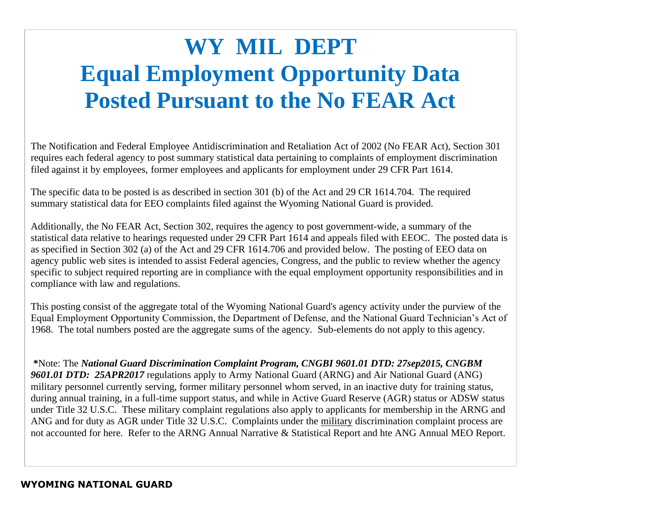## **WY MIL DEPT Equal Employment Opportunity Data Posted Pursuant to the No FEAR Act**

The Notification and Federal Employee Antidiscrimination and Retaliation Act of 2002 (No FEAR Act), Section 301 requires each federal agency to post summary statistical data pertaining to complaints of employment discrimination filed against it by employees, former employees and applicants for employment under 29 CFR Part 1614.

The specific data to be posted is as described in section 301 (b) of the Act and 29 CR 1614.704. The required summary statistical data for EEO complaints filed against the Wyoming National Guard is provided.

Additionally, the No FEAR Act, Section 302, requires the agency to post government-wide, a summary of the statistical data relative to hearings requested under 29 CFR Part 1614 and appeals filed with EEOC. The posted data is as specified in Section 302 (a) of the Act and 29 CFR 1614.706 and provided below. The posting of EEO data on agency public web sites is intended to assist Federal agencies, Congress, and the public to review whether the agency specific to subject required reporting are in compliance with the equal employment opportunity responsibilities and in compliance with law and regulations.

This posting consist of the aggregate total of the Wyoming National Guard's agency activity under the purview of the Equal Employment Opportunity Commission, the Department of Defense, and the National Guard Technician's Act of 1968. The total numbers posted are the aggregate sums of the agency. Sub-elements do not apply to this agency.

**\***Note: The *National Guard Discrimination Complaint Program, CNGBI 9601.01 DTD: 27sep2015, CNGBM 9601.01 DTD: 25APR2017* regulations apply to Army National Guard (ARNG) and Air National Guard (ANG) military personnel currently serving, former military personnel whom served, in an inactive duty for training status, during annual training, in a full-time support status, and while in Active Guard Reserve (AGR) status or ADSW status under Title 32 U.S.C. These military complaint regulations also apply to applicants for membership in the ARNG and ANG and for duty as AGR under Title 32 U.S.C. Complaints under the military discrimination complaint process are not accounted for here. Refer to the ARNG Annual Narrative & Statistical Report and hte ANG Annual MEO Report.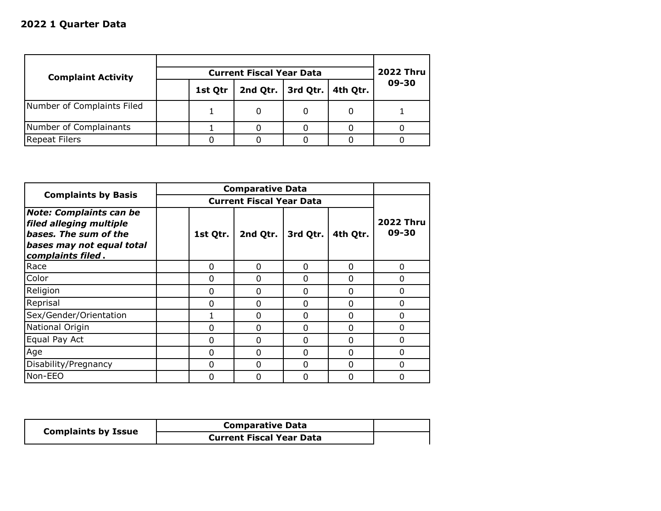| <b>Complaint Activity</b>  |  |         | <b>2022 Thru</b> |          |          |       |
|----------------------------|--|---------|------------------|----------|----------|-------|
|                            |  | 1st Qtr | 2nd Qtr.         | 3rd Qtr. | 4th Qtr. | 09-30 |
| Number of Complaints Filed |  |         |                  |          | 0        |       |
| Number of Complainants     |  |         |                  |          |          |       |
| <b>Repeat Filers</b>       |  |         |                  |          |          |       |

| <b>Complaints by Basis</b>                                                                                                           |          | <b>Comparative Data</b>         |          |          |                           |
|--------------------------------------------------------------------------------------------------------------------------------------|----------|---------------------------------|----------|----------|---------------------------|
|                                                                                                                                      |          | <b>Current Fiscal Year Data</b> |          |          |                           |
| <b>Note: Complaints can be</b><br>filed alleging multiple<br>bases. The sum of the<br>bases may not equal total<br>complaints filed. | 1st Qtr. | 2nd Qtr.                        | 3rd Qtr. | 4th Qtr. | <b>2022 Thru</b><br>09-30 |
| Race                                                                                                                                 | 0        | $\Omega$                        | 0        | 0        | $\Omega$                  |
| Color                                                                                                                                | $\Omega$ | O                               | $\Omega$ | $\Omega$ | $\Omega$                  |
| Religion                                                                                                                             | 0        | 0                               | $\Omega$ | $\Omega$ | $\Omega$                  |
| Reprisal                                                                                                                             | $\Omega$ | 0                               | 0        | $\Omega$ | $\Omega$                  |
| Sex/Gender/Orientation                                                                                                               | 1        | 0                               | 0        | 0        | $\Omega$                  |
| National Origin                                                                                                                      | 0        | 0                               | 0        | $\Omega$ | $\Omega$                  |
| Equal Pay Act                                                                                                                        | 0        | O                               | $\Omega$ | $\Omega$ | $\Omega$                  |
| Age                                                                                                                                  | 0        | O                               | $\Omega$ | $\Omega$ | $\Omega$                  |
| Disability/Pregnancy                                                                                                                 | $\Omega$ | O                               | $\Omega$ | $\Omega$ | $\Omega$                  |
| Non-EEO                                                                                                                              | $\Omega$ | ŋ                               | $\Omega$ | $\Omega$ | O                         |

| <b>Complaints by Issue</b> | <b>Comparative Data</b>         |  |
|----------------------------|---------------------------------|--|
|                            | <b>Current Fiscal Year Data</b> |  |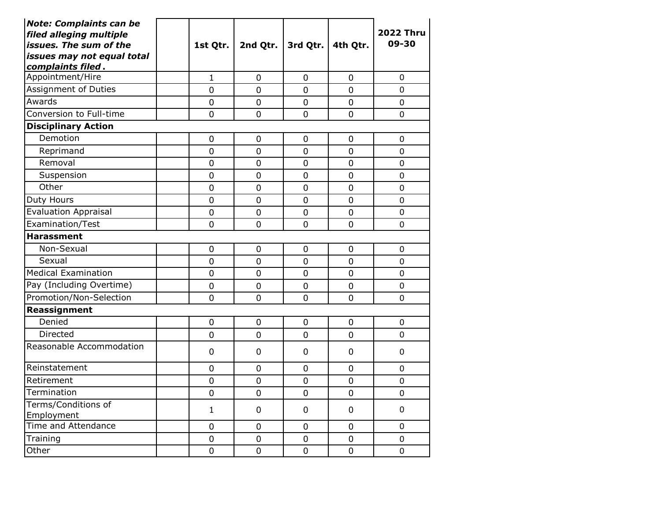| <b>Note: Complaints can be</b><br>filed alleging multiple<br>issues. The sum of the<br>issues may not equal total<br>complaints filed. | 1st Qtr.         | 2nd Qtr.         | 3rd Qtr.       | 4th Qtr.         | <b>2022 Thru</b><br>09-30 |
|----------------------------------------------------------------------------------------------------------------------------------------|------------------|------------------|----------------|------------------|---------------------------|
| Appointment/Hire                                                                                                                       | $\mathbf{1}$     | $\overline{0}$   | 0              | 0                | 0                         |
| Assignment of Duties                                                                                                                   | 0                | $\overline{0}$   | 0              | $\overline{0}$   | 0                         |
| Awards                                                                                                                                 | $\overline{0}$   | $\overline{0}$   | $\overline{0}$ | $\overline{0}$   | 0                         |
| Conversion to Full-time                                                                                                                | $\overline{0}$   | $\overline{0}$   | 0              | $\overline{0}$   | 0                         |
| <b>Disciplinary Action</b>                                                                                                             |                  |                  |                |                  |                           |
| Demotion                                                                                                                               | $\pmb{0}$        | $\boldsymbol{0}$ | 0              | $\mathbf 0$      | $\mathbf 0$               |
| Reprimand                                                                                                                              | $\overline{0}$   | $\overline{0}$   | $\overline{0}$ | $\overline{0}$   | 0                         |
| Removal                                                                                                                                | $\mathbf 0$      | $\mathbf 0$      | 0              | $\mathbf 0$      | 0                         |
| Suspension                                                                                                                             | $\mathbf 0$      | $\overline{0}$   | 0              | $\mathbf 0$      | 0                         |
| Other                                                                                                                                  | $\mathbf 0$      | $\mathbf 0$      | $\mathbf 0$    | $\mathbf 0$      | 0                         |
| Duty Hours                                                                                                                             | $\mathbf 0$      | $\mathbf 0$      | 0              | $\mathbf 0$      | 0                         |
| <b>Evaluation Appraisal</b>                                                                                                            | $\mathbf 0$      | $\overline{0}$   | $\mathbf 0$    | $\overline{0}$   | 0                         |
| Examination/Test                                                                                                                       | $\mathbf 0$      | $\overline{0}$   | $\mathbf 0$    | $\mathbf 0$      | 0                         |
| <b>Harassment</b>                                                                                                                      |                  |                  |                |                  |                           |
| Non-Sexual                                                                                                                             | $\mathbf 0$      | $\mathbf 0$      | 0              | 0                | 0                         |
| Sexual                                                                                                                                 | $\overline{0}$   | $\overline{0}$   | $\overline{0}$ | $\overline{0}$   | 0                         |
| <b>Medical Examination</b>                                                                                                             | $\mathbf 0$      | $\overline{0}$   | 0              | $\overline{0}$   | 0                         |
| Pay (Including Overtime)                                                                                                               | $\mathbf 0$      | $\overline{0}$   | 0              | $\mathbf 0$      | 0                         |
| Promotion/Non-Selection                                                                                                                | 0                | $\mathbf 0$      | $\mathbf 0$    | $\mathbf 0$      | 0                         |
| Reassignment                                                                                                                           |                  |                  |                |                  |                           |
| Denied                                                                                                                                 | $\overline{0}$   | $\overline{0}$   | $\overline{0}$ | $\overline{0}$   | 0                         |
| Directed                                                                                                                               | 0                | $\mathbf 0$      | 0              | $\mathbf 0$      | 0                         |
| Reasonable Accommodation                                                                                                               | 0                | $\mathbf 0$      | 0              | $\mathbf 0$      | 0                         |
| Reinstatement                                                                                                                          | 0                | $\mathbf 0$      | 0              | $\mathbf 0$      | 0                         |
| Retirement                                                                                                                             | $\boldsymbol{0}$ | $\mathbf 0$      | 0              | $\mathbf 0$      | 0                         |
| Termination                                                                                                                            | $\pmb{0}$        | $\boldsymbol{0}$ | $\mathsf 0$    | $\boldsymbol{0}$ | $\pmb{0}$                 |
| Terms/Conditions of<br>Employment                                                                                                      | 1                | 0                | 0              | 0                | 0                         |
| Time and Attendance                                                                                                                    | $\mathbf 0$      | $\mathbf 0$      | 0              | $\mathbf 0$      | $\mathbf 0$               |
| Training                                                                                                                               | $\pmb{0}$        | $\pmb{0}$        | $\pmb{0}$      | $\pmb{0}$        | 0                         |
| Other                                                                                                                                  | $\pmb{0}$        | $\pmb{0}$        | $\pmb{0}$      | $\pmb{0}$        | 0                         |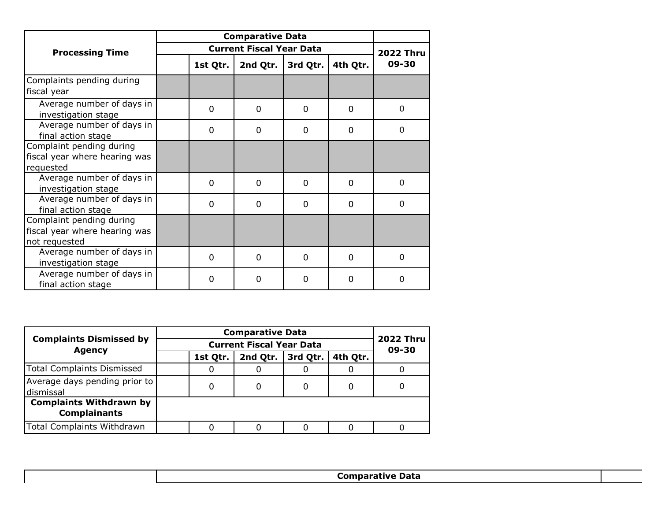|                                                  |                | <b>Comparative Data</b>         |          |          |                  |
|--------------------------------------------------|----------------|---------------------------------|----------|----------|------------------|
| <b>Processing Time</b>                           |                | <b>Current Fiscal Year Data</b> |          |          | <b>2022 Thru</b> |
|                                                  | 1st Qtr.       | 2nd Qtr.                        | 3rd Qtr. | 4th Qtr. | 09-30            |
| Complaints pending during                        |                |                                 |          |          |                  |
| fiscal year                                      |                |                                 |          |          |                  |
| Average number of days in<br>investigation stage | 0              | $\Omega$                        | $\Omega$ | $\Omega$ | $\Omega$         |
| Average number of days in<br>final action stage  | 0              | 0                               | 0        | 0        | 0                |
| Complaint pending during                         |                |                                 |          |          |                  |
| fiscal year where hearing was                    |                |                                 |          |          |                  |
| requested                                        |                |                                 |          |          |                  |
| Average number of days in                        | $\overline{0}$ | $\Omega$                        | $\Omega$ | 0        | $\mathbf{0}$     |
| investigation stage                              |                |                                 |          |          |                  |
| Average number of days in                        | $\Omega$       | $\Omega$                        | $\Omega$ | $\Omega$ | $\Omega$         |
| final action stage                               |                |                                 |          |          |                  |
| Complaint pending during                         |                |                                 |          |          |                  |
| fiscal year where hearing was                    |                |                                 |          |          |                  |
| not requested                                    |                |                                 |          |          |                  |
| Average number of days in                        | $\Omega$       | $\mathbf{0}$                    | 0        | $\Omega$ | $\Omega$         |
| investigation stage                              |                |                                 |          |          |                  |
| Average number of days in<br>final action stage  | 0              | O                               | 0        | $\Omega$ | 0                |

| <b>Complaints Dismissed by</b>                        |  |          | <b>Comparative Data</b>   |          |          |  |
|-------------------------------------------------------|--|----------|---------------------------|----------|----------|--|
| <b>Agency</b>                                         |  |          | <b>2022 Thru</b><br>09-30 |          |          |  |
|                                                       |  | 1st Qtr. | 2nd Qtr.                  | 3rd Qtr. | 4th Qtr. |  |
| Total Complaints Dismissed                            |  | 0        |                           |          |          |  |
| Average days pending prior to<br>dismissal            |  | 0        |                           |          | 0        |  |
| <b>Complaints Withdrawn by</b><br><b>Complainants</b> |  |          |                           |          |          |  |
| Total Complaints Withdrawn                            |  |          |                           |          |          |  |
|                                                       |  |          |                           |          |          |  |

**Comparative Data**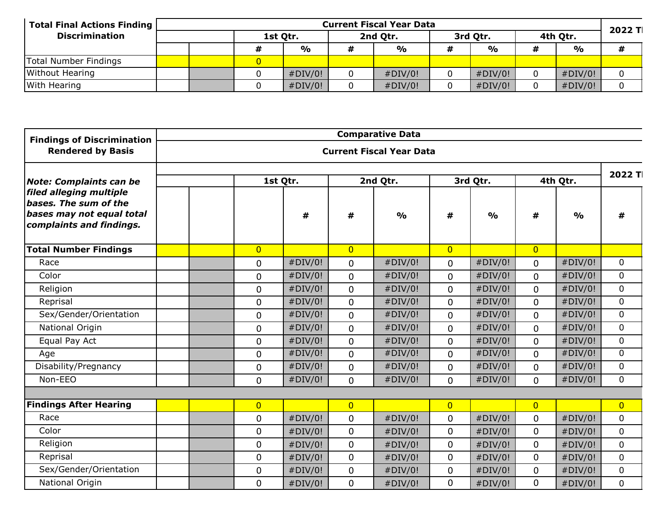| Total Final Actions Finding | <b>Current Fiscal Year Data</b> |  |          |               |          |               |  |          |   |               | 2022 TI |  |
|-----------------------------|---------------------------------|--|----------|---------------|----------|---------------|--|----------|---|---------------|---------|--|
| <b>Discrimination</b>       |                                 |  | 1st Qtr. |               | 2nd Otr. |               |  | 3rd Otr. |   | 4th Qtr.      |         |  |
|                             |                                 |  |          | $\frac{1}{2}$ |          | $\frac{0}{0}$ |  | %        | # | $\frac{6}{9}$ |         |  |
| Total Number Findings       |                                 |  |          |               |          |               |  |          |   |               |         |  |
| <b>Without Hearing</b>      |                                 |  |          | #DIV/0!       |          | #DIV/0!       |  | #DIV/0!  |   | #DIV/0!       |         |  |
| With Hearing                |                                 |  |          | #DIV/0!       |          | #DIV/0!       |  | #DIV/0!  |   | #DIV/0!       |         |  |

| <b>Findings of Discrimination</b>                                                                         |                |         |                | <b>Comparative Data</b>         |                |               |                |               |                |
|-----------------------------------------------------------------------------------------------------------|----------------|---------|----------------|---------------------------------|----------------|---------------|----------------|---------------|----------------|
| <b>Rendered by Basis</b>                                                                                  |                |         |                | <b>Current Fiscal Year Data</b> |                |               |                |               |                |
| <b>Note: Complaints can be</b>                                                                            | 1st Qtr.       |         |                | 2nd Qtr.                        | 3rd Qtr.       |               | 4th Qtr.       |               | 2022 Tl        |
| filed alleging multiple<br>bases. The sum of the<br>bases may not equal total<br>complaints and findings. |                | #       | #              | $\frac{0}{0}$                   | #              | $\frac{0}{0}$ | #              | $\frac{0}{0}$ | #              |
| <b>Total Number Findings</b>                                                                              | $\overline{0}$ |         | $\overline{0}$ |                                 | $\overline{0}$ |               | $\overline{0}$ |               |                |
| Race                                                                                                      | $\mathbf 0$    | #DIV/0! | $\overline{0}$ | #DIV/0!                         | $\overline{0}$ | #DIV/0!       | $\Omega$       | #DIV/0!       | $\Omega$       |
| Color                                                                                                     | 0              | #DIV/0! | $\mathbf{0}$   | #DIV/0!                         | 0              | #DIV/0!       | $\mathbf{0}$   | #DIV/0!       | $\overline{0}$ |
| Religion                                                                                                  | 0              | #DIV/0! | $\overline{0}$ | #DIV/0!                         | 0              | #DIV/0!       | $\mathbf 0$    | #DIV/0!       | $\Omega$       |
| Reprisal                                                                                                  | $\mathbf 0$    | #DIV/0! | $\overline{0}$ | #DIV/0!                         | $\overline{0}$ | #DIV/0!       | $\Omega$       | #DIV/0!       | $\Omega$       |
| Sex/Gender/Orientation                                                                                    | $\mathbf 0$    | #DIV/0! | $\Omega$       | #DIV/0!                         | $\mathbf{0}$   | #DIV/0!       | $\Omega$       | #DIV/0!       | $\Omega$       |
| National Origin                                                                                           | 0              | #DIV/0! | $\overline{0}$ | #DIV/0!                         | $\mathbf{0}$   | #DIV/0!       | $\mathbf 0$    | #DIV/0!       | $\overline{0}$ |
| Equal Pay Act                                                                                             | 0              | #DIV/0! | $\mathbf 0$    | #DIV/0!                         | $\mathbf 0$    | #DIV/0!       | $\Omega$       | #DIV/0!       | $\overline{0}$ |
| Age                                                                                                       | $\mathbf 0$    | #DIV/0! | $\Omega$       | #DIV/0!                         | $\mathbf{0}$   | #DIV/0!       | $\Omega$       | #DIV/0!       | $\Omega$       |
| Disability/Pregnancy                                                                                      | 0              | #DIV/0! | $\overline{0}$ | #DIV/0!                         | 0              | #DIV/0!       | $\mathbf{0}$   | #DIV/0!       | $\overline{0}$ |
| Non-EEO                                                                                                   | $\mathbf 0$    | #DIV/0! | $\overline{0}$ | #DIV/0!                         | $\Omega$       | #DIV/0!       | $\Omega$       | #DIV/0!       | $\overline{0}$ |
|                                                                                                           |                |         |                |                                 |                |               |                |               |                |
| <b>Findings After Hearing</b>                                                                             | $\overline{0}$ |         | $\overline{0}$ |                                 | $\overline{0}$ |               | $\overline{0}$ |               | $\overline{0}$ |
| Race                                                                                                      | $\pmb{0}$      | #DIV/0! | $\mathbf{0}$   | #DIV/0!                         | 0              | #DIV/0!       | $\mathbf 0$    | #DIV/0!       | $\overline{0}$ |
| Color                                                                                                     | 0              | #DIV/0! | $\mathbf{0}$   | #DIV/0!                         | $\mathbf 0$    | #DIV/0!       | $\mathbf 0$    | #DIV/0!       | $\Omega$       |
| Religion                                                                                                  | $\mathbf 0$    | #DIV/0! | $\mathbf{0}$   | #DIV/0!                         | $\mathbf{0}$   | #DIV/0!       | $\mathbf{0}$   | #DIV/0!       | $\Omega$       |
| Reprisal                                                                                                  | 0              | #DIV/0! | $\overline{0}$ | #DIV/0!                         | $\mathbf 0$    | #DIV/0!       | $\mathbf 0$    | #DIV/0!       | $\overline{0}$ |
| Sex/Gender/Orientation                                                                                    | 0              | #DIV/0! | $\mathbf 0$    | #DIV/0!                         | 0              | #DIV/0!       | $\mathbf 0$    | #DIV/0!       | $\mathbf 0$    |
| National Origin                                                                                           | 0              | #DIV/0! | $\overline{0}$ | #DIV/0!                         | 0              | #DIV/0!       | 0              | #DIV/0!       | 0              |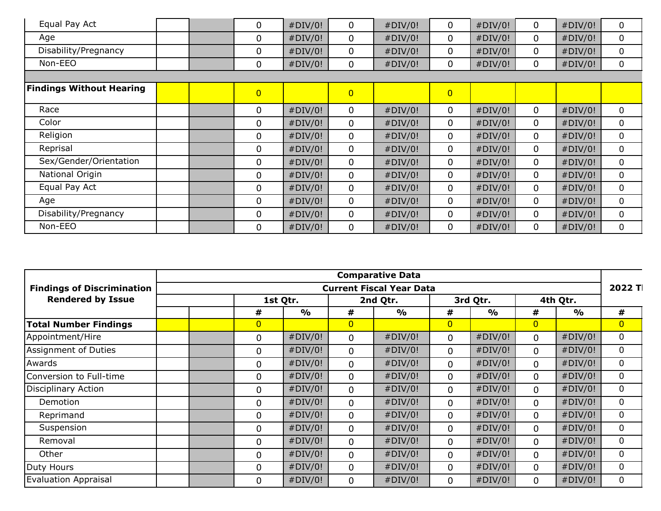| Equal Pay Act                   | 0              | #DIV/0! | 0              | #DIV/0! | 0              | #DIV/0! | 0            | #DIV/0! | 0 |
|---------------------------------|----------------|---------|----------------|---------|----------------|---------|--------------|---------|---|
| Age                             | 0              | #DIV/0! | 0              | #DIV/0! | 0              | #DIV/0! | $\mathbf{0}$ | #DIV/0! | 0 |
| Disability/Pregnancy            | 0              | #DIV/0! | 0              | #DIV/0! | 0              | #DIV/0! | $\mathbf{0}$ | #DIV/0! | 0 |
| Non-EEO                         | 0              | #DIV/0! | 0              | #DIV/0! | 0              | #DIV/0! | 0            | #DIV/0! | 0 |
|                                 |                |         |                |         |                |         |              |         |   |
| <b>Findings Without Hearing</b> | $\overline{0}$ |         | $\overline{0}$ |         | $\overline{0}$ |         |              |         |   |
| Race                            | 0              | #DIV/0! | 0              | #DIV/0! | 0              | #DIV/0! | $\mathbf 0$  | #DIV/0! | 0 |
| Color                           | 0              | #DIV/0! | 0              | #DIV/0! | 0              | #DIV/0! | $\mathbf{0}$ | #DIV/0! | 0 |
| Religion                        | 0              | #DIV/0! | 0              | #DIV/0! | 0              | #DIV/0! | 0            | #DIV/0! | 0 |
| Reprisal                        | 0              | #DIV/0! | 0              | #DIV/0! | 0              | #DIV/0! | 0            | #DIV/0! | 0 |
| Sex/Gender/Orientation          | 0              | #DIV/0! | 0              | #DIV/0! | 0              | #DIV/0! | $\mathbf{0}$ | #DIV/0! | 0 |
| National Origin                 | 0              | #DIV/0! | 0              | #DIV/0! | 0              | #DIV/0! | $\mathbf{0}$ | #DIV/0! | 0 |
| Equal Pay Act                   | 0              | #DIV/0! | 0              | #DIV/0! | 0              | #DIV/0! | $\mathbf{0}$ | #DIV/0! | 0 |
| Age                             | 0              | #DIV/0! | 0              | #DIV/0! | 0              | #DIV/0! | $\mathbf{0}$ | #DIV/0! | 0 |
| Disability/Pregnancy            | 0              | #DIV/0! | 0              | #DIV/0! | 0              | #DIV/0! | 0            | #DIV/0! | 0 |
| Non-EEO                         | 0              | #DIV/0! | 0              | #DIV/0! | 0              | #DIV/0! | $\mathbf{0}$ | #DIV/0! | 0 |

|                                   | <b>Comparative Data</b> |                |               |                |                                 |                |               |                |               |                |  |  |  |
|-----------------------------------|-------------------------|----------------|---------------|----------------|---------------------------------|----------------|---------------|----------------|---------------|----------------|--|--|--|
| <b>Findings of Discrimination</b> |                         |                |               |                | <b>Current Fiscal Year Data</b> |                |               |                |               | 2022 Tl        |  |  |  |
| <b>Rendered by Issue</b>          | 1st Qtr.                |                |               |                | 2nd Qtr.                        |                | 3rd Qtr.      |                | 4th Qtr.      |                |  |  |  |
|                                   |                         | #              | $\frac{0}{0}$ | #              | $\frac{1}{2}$                   | #              | $\frac{0}{0}$ | #              | $\frac{O}{O}$ | #              |  |  |  |
| <b>Total Number Findings</b>      |                         | $\overline{0}$ |               | $\overline{0}$ |                                 | $\overline{0}$ |               | $\overline{0}$ |               | $\overline{0}$ |  |  |  |
| Appointment/Hire                  |                         | 0              | #DIV/0!       | $\mathbf 0$    | #DIV/0!                         | $\mathbf 0$    | #DIV/0!       | $\mathbf 0$    | #DIV/0!       | 0              |  |  |  |
| Assignment of Duties              |                         | 0              | #DIV/0!       | 0              | #DIV/0!                         | 0              | #DIV/0!       | 0              | #DIV/0!       | 0              |  |  |  |
| Awards                            |                         | 0              | #DIV/0!       | $\mathbf 0$    | #DIV/0!                         | 0              | #DIV/0!       | $\mathbf 0$    | #DIV/0!       | 0              |  |  |  |
| Conversion to Full-time           |                         | 0              | #DIV/0!       | 0              | #DIV/0!                         | 0              | #DIV/0!       | 0              | #DIV/0!       | 0              |  |  |  |
| Disciplinary Action               |                         | 0              | #DIV/0!       | $\mathbf 0$    | #DIV/0!                         | $\Omega$       | #DIV/0!       | $\mathbf 0$    | #DIV/0!       | 0              |  |  |  |
| Demotion                          |                         | 0              | #DIV/0!       | $\mathbf 0$    | #DIV/0!                         | $\Omega$       | #DIV/0!       | $\mathbf 0$    | #DIV/0!       | $\mathbf{0}$   |  |  |  |
| Reprimand                         |                         | 0              | #DIV/0!       | $\mathbf 0$    | #DIV/0!                         | $\Omega$       | #DIV/0!       | $\mathbf{0}$   | #DIV/0!       | 0              |  |  |  |
| Suspension                        |                         | 0              | #DIV/0!       | $\mathbf{0}$   | #DIV/0!                         | $\Omega$       | #DIV/0!       | $\mathbf{0}$   | #DIV/0!       | 0              |  |  |  |
| Removal                           |                         | 0              | #DIV/0!       | $\Omega$       | #DIV/0!                         | $\Omega$       | #DIV/0!       | $\Omega$       | #DIV/0!       | 0              |  |  |  |
| Other                             |                         | 0              | #DIV/0!       | $\mathbf 0$    | #DIV/0!                         | $\Omega$       | #DIV/0!       | $\mathbf 0$    | #DIV/0!       | 0              |  |  |  |
| Duty Hours                        |                         | 0              | #DIV/0!       | $\mathbf 0$    | #DIV/0!                         | 0              | #DIV/0!       | $\mathbf 0$    | #DIV/0!       |                |  |  |  |
| <b>Evaluation Appraisal</b>       |                         | 0              | #DIV/0!       | $\mathbf 0$    | #DIV/0!                         | $\Omega$       | #DIV/0!       | 0              | #DIV/0!       | 0              |  |  |  |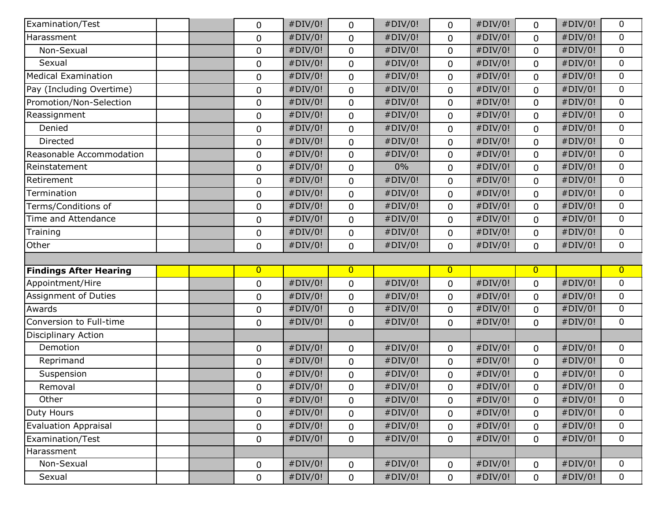| Examination/Test              | 0              | #DIV/0! | 0              | #DIV/0! | 0              | #DIV/0! | 0              | #DIV/0! | 0                |
|-------------------------------|----------------|---------|----------------|---------|----------------|---------|----------------|---------|------------------|
| Harassment                    | $\pmb{0}$      | #DIV/0! | $\mathbf 0$    | #DIV/0! | $\mathbf 0$    | #DIV/0! | $\mathbf 0$    | #DIV/0! | $\mathbf 0$      |
| Non-Sexual                    | 0              | #DIV/0! | $\mathbf 0$    | #DIV/0! | $\mathbf 0$    | #DIV/0! | $\mathbf 0$    | #DIV/0! | $\mathbf 0$      |
| Sexual                        | $\mathbf 0$    | #DIV/0! | 0              | #DIV/0! | 0              | #DIV/0! | $\mathbf 0$    | #DIV/0! | $\mathbf 0$      |
| <b>Medical Examination</b>    | $\mathbf 0$    | #DIV/0! | 0              | #DIV/0! | 0              | #DIV/0! | $\mathbf 0$    | #DIV/0! | $\mathbf 0$      |
| Pay (Including Overtime)      | 0              | #DIV/0! | $\mathbf 0$    | #DIV/0! | 0              | #DIV/0! | 0              | #DIV/0! | $\mathbf 0$      |
| Promotion/Non-Selection       | $\pmb{0}$      | #DIV/0! | $\mathbf 0$    | #DIV/0! | $\mathbf 0$    | #DIV/0! | $\mathbf 0$    | #DIV/0! | $\mathbf 0$      |
| Reassignment                  | 0              | #DIV/0! | $\mathbf 0$    | #DIV/0! | $\mathbf 0$    | #DIV/0! | $\mathbf 0$    | #DIV/0! | $\mathbf 0$      |
| Denied                        | 0              | #DIV/0! | $\mathbf 0$    | #DIV/0! | $\mathbf 0$    | #DIV/0! | $\mathbf 0$    | #DIV/0! | $\boldsymbol{0}$ |
| Directed                      | 0              | #DIV/0! | $\mathbf 0$    | #DIV/0! | $\mathbf 0$    | #DIV/0! | $\mathbf 0$    | #DIV/0! | $\boldsymbol{0}$ |
| Reasonable Accommodation      | $\mathbf 0$    | #DIV/0! | 0              | #DIV/0! | 0              | #DIV/0! | 0              | #DIV/0! | $\mathbf 0$      |
| Reinstatement                 | 0              | #DIV/0! | $\mathbf 0$    | 0%      | $\mathbf 0$    | #DIV/0! | $\mathbf 0$    | #DIV/0! | $\mathbf 0$      |
| Retirement                    | 0              | #DIV/0! | $\mathbf 0$    | #DIV/0! | $\mathbf 0$    | #DIV/0! | $\mathbf 0$    | #DIV/0! | $\boldsymbol{0}$ |
| Termination                   | $\mathbf 0$    | #DIV/0! | $\mathbf 0$    | #DIV/0! | $\mathbf 0$    | #DIV/0! | $\mathbf 0$    | #DIV/0! | $\mathbf 0$      |
| Terms/Conditions of           | 0              | #DIV/0! | 0              | #DIV/0! | $\mathbf 0$    | #DIV/0! | $\mathbf 0$    | #DIV/0! | $\mathbf 0$      |
| Time and Attendance           | $\mathbf 0$    | #DIV/0! | $\mathbf 0$    | #DIV/0! | $\mathbf 0$    | #DIV/0! | $\mathbf 0$    | #DIV/0! | $\mathbf 0$      |
| Training                      | 0              | #DIV/0! | $\mathbf 0$    | #DIV/0! | $\mathbf 0$    | #DIV/0! | $\mathbf 0$    | #DIV/0! | $\mathbf 0$      |
| Other                         | 0              | #DIV/0! | $\mathbf 0$    | #DIV/0! | $\mathbf 0$    | #DIV/0! | $\mathbf 0$    | #DIV/0! | $\boldsymbol{0}$ |
|                               |                |         |                |         |                |         |                |         |                  |
| <b>Findings After Hearing</b> | $\overline{0}$ |         | $\overline{0}$ |         | $\overline{0}$ |         | $\overline{0}$ |         | $\overline{0}$   |
| Appointment/Hire              | $\mathbf 0$    | #DIV/0! | $\pmb{0}$      | #DIV/0! | $\mathbf 0$    | #DIV/0! | $\pmb{0}$      | #DIV/0! | $\mathbf 0$      |
| Assignment of Duties          | $\mathbf 0$    | #DIV/0! | 0              | #DIV/0! | 0              | #DIV/0! | $\mathbf 0$    | #DIV/0! | $\mathbf 0$      |
| Awards                        | $\mathbf 0$    | #DIV/0! | $\mathbf 0$    | #DIV/0! | $\mathbf 0$    | #DIV/0! | $\mathbf 0$    | #DIV/0! | $\mathbf 0$      |
| Conversion to Full-time       | 0              | #DIV/0! | $\mathbf 0$    | #DIV/0! | $\mathbf 0$    | #DIV/0! | $\mathbf 0$    | #DIV/0! | $\mathbf 0$      |
| <b>Disciplinary Action</b>    |                |         |                |         |                |         |                |         |                  |
| Demotion                      |                |         |                |         |                |         |                |         |                  |
| Reprimand                     | 0              | #DIV/0! | $\mathbf 0$    | #DIV/0! | $\mathbf 0$    | #DIV/0! | $\mathbf 0$    | #DIV/0! | $\mathbf 0$      |
|                               | $\mathbf 0$    | #DIV/0! | $\mathbf 0$    | #DIV/0! | $\mathbf 0$    | #DIV/0! | $\mathbf 0$    | #DIV/0! | $\mathbf 0$      |
| Suspension                    | $\pmb{0}$      | #DIV/0! | 0              | #DIV/0! | 0              | #DIV/0! | 0              | #DIV/0! | $\mathbf 0$      |
| Removal                       | $\mathbf 0$    | #DIV/0! | 0              | #DIV/0! | 0              | #DIV/0! | 0              | #DIV/0! | $\pmb{0}$        |
| Other                         | 0              | #DIV/0! | 0              | #DIV/0! | 0              | #DIV/0! | 0              | #DIV/0! | $\mathbf 0$      |
| <b>Duty Hours</b>             | 0              | #DIV/0! | $\mathbf 0$    | #DIV/0! | $\mathbf 0$    | #DIV/0! | $\mathbf{0}$   | #DIV/0! | $\mathbf 0$      |
| <b>Evaluation Appraisal</b>   | 0              | #DIV/0! | $\mathbf 0$    | #DIV/0! | $\mathbf 0$    | #DIV/0! | $\mathbf 0$    | #DIV/0! | $\mathbf 0$      |
| Examination/Test              | 0              | #DIV/0! | $\mathbf 0$    | #DIV/0! | $\mathbf 0$    | #DIV/0! | $\mathbf 0$    | #DIV/0! | $\mathbf 0$      |
| Harassment                    |                |         |                |         |                |         |                |         |                  |
| Non-Sexual                    | 0              | #DIV/0! | $\mathbf 0$    | #DIV/0! | $\mathbf 0$    | #DIV/0! | $\mathbf 0$    | #DIV/0! | $\mathbf 0$      |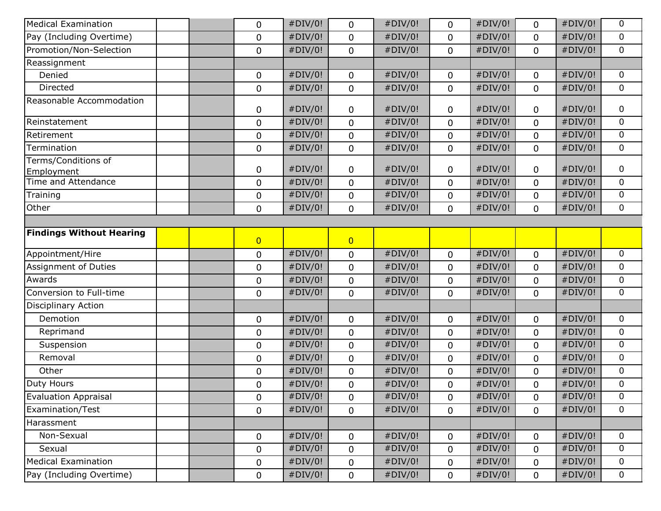| <b>Medical Examination</b>        | 0              | #DIV/0! | 0              | #DIV/0! | 0           | #DIV/0! | 0            | #DIV/0! | 0              |
|-----------------------------------|----------------|---------|----------------|---------|-------------|---------|--------------|---------|----------------|
| Pay (Including Overtime)          | $\pmb{0}$      | #DIV/0! | $\mathbf 0$    | #DIV/0! | $\mathbf 0$ | #DIV/0! | $\mathbf 0$  | #DIV/0! | 0              |
| Promotion/Non-Selection           | $\mathbf 0$    | #DIV/0! | $\mathbf 0$    | #DIV/0! | $\mathbf 0$ | #DIV/0! | $\mathbf 0$  | #DIV/0! | $\mathbf 0$    |
| Reassignment                      |                |         |                |         |             |         |              |         |                |
| Denied                            | 0              | #DIV/0! | $\mathbf 0$    | #DIV/0! | $\mathbf 0$ | #DIV/0! | $\mathbf 0$  | #DIV/0! | 0              |
| Directed                          | $\pmb{0}$      | #DIV/0! | $\mathbf 0$    | #DIV/0! | $\mathbf 0$ | #DIV/0! | $\mathbf 0$  | #DIV/0! | $\mathbf 0$    |
| Reasonable Accommodation          | 0              | #DIV/0! | $\mathbf 0$    | #DIV/0! | 0           | #DIV/0! | 0            | #DIV/0! | 0              |
| Reinstatement                     | $\mathbf 0$    | #DIV/0! | $\mathbf 0$    | #DIV/0! | $\mathbf 0$ | #DIV/0! | $\mathbf 0$  | #DIV/0! | 0              |
| Retirement                        | $\pmb{0}$      | #DIV/0! | $\mathbf 0$    | #DIV/0! | $\mathbf 0$ | #DIV/0! | $\mathbf 0$  | #DIV/0! | 0              |
| Termination                       | $\pmb{0}$      | #DIV/0! | $\mathbf 0$    | #DIV/0! | $\mathbf 0$ | #DIV/0! | $\mathbf 0$  | #DIV/0! | $\mathbf 0$    |
| Terms/Conditions of<br>Employment | 0              | #DIV/0! | 0              | #DIV/0! | $\mathbf 0$ | #DIV/0! | 0            | #DIV/0! | 0              |
| Time and Attendance               | $\mathbf 0$    | #DIV/0! | $\mathbf 0$    | #DIV/0! | $\mathbf 0$ | #DIV/0! | $\mathbf 0$  | #DIV/0! | $\mathbf 0$    |
| Training                          | $\pmb{0}$      | #DIV/0! | $\mathbf 0$    | #DIV/0! | $\mathbf 0$ | #DIV/0! | 0            | #DIV/0! | 0              |
| Other                             | $\mathbf 0$    | #DIV/0! | $\mathbf 0$    | #DIV/0! | $\mathbf 0$ | #DIV/0! | 0            | #DIV/0! | $\mathbf 0$    |
|                                   |                |         |                |         |             |         |              |         |                |
| <b>Findings Without Hearing</b>   | $\overline{0}$ |         | $\overline{0}$ |         |             |         |              |         |                |
| Appointment/Hire                  | $\pmb{0}$      | #DIV/0! | $\mathbf 0$    | #DIV/0! | $\mathbf 0$ | #DIV/0! | $\mathbf 0$  | #DIV/0! | $\overline{0}$ |
| Assignment of Duties              | $\mathbf 0$    | #DIV/0! | $\mathbf 0$    | #DIV/0! | $\mathbf 0$ | #DIV/0! | $\mathbf 0$  | #DIV/0! | 0              |
| Awards                            | 0              | #DIV/0! | $\mathbf 0$    | #DIV/0! | $\mathbf 0$ | #DIV/0! | 0            | #DIV/0! | 0              |
| Conversion to Full-time           | $\pmb{0}$      | #DIV/0! | $\mathbf 0$    | #DIV/0! | $\mathbf 0$ | #DIV/0! | $\mathbf 0$  | #DIV/0! | $\mathbf 0$    |
| <b>Disciplinary Action</b>        |                |         |                |         |             |         |              |         |                |
| Demotion                          | 0              | #DIV/0! | $\mathbf 0$    | #DIV/0! | $\mathbf 0$ | #DIV/0! | $\mathbf 0$  | #DIV/0! | $\mathbf 0$    |
| Reprimand                         | $\mathbf 0$    | #DIV/0! | $\mathbf 0$    | #DIV/0! | $\mathbf 0$ | #DIV/0! | $\mathbf 0$  | #DIV/0! | 0              |
| Suspension                        | $\mathbf 0$    | #DIV/0! | $\mathbf 0$    | #DIV/0! | $\pmb{0}$   | #DIV/0! | 0            | #DIV/0! | 0              |
| Removal                           | 0              | #DIV/0! | $\mathbf 0$    | #DIV/0! | $\mathbf 0$ | #DIV/0! | $\mathbf 0$  | #DIV/0! | $\mathbf 0$    |
| Other                             | $\pmb{0}$      | #DIV/0! | $\mathbf 0$    | #DIV/0! | $\mathbf 0$ | #DIV/0! | 0            | #DIV/0! | $\mathbf 0$    |
| <b>Duty Hours</b>                 | 0              | #DIV/0! | $\mathbf 0$    | #DIV/0! | $\mathbf 0$ | #DIV/0! | 0            | #DIV/0! | 0              |
| <b>Evaluation Appraisal</b>       | $\mathbf 0$    | #DIV/0! | 0              | #DIV/0! | 0           | #DIV/0! | 0            | #DIV/0! | 0              |
| Examination/Test                  | 0              | #DIV/0! | $\mathbf 0$    | #DIV/0! | $\mathbf 0$ | #DIV/0! | 0            | #DIV/0! | $\mathbf 0$    |
| Harassment                        |                |         |                |         |             |         |              |         |                |
| Non-Sexual                        | $\mathbf 0$    | #DIV/0! | $\mathbf 0$    | #DIV/0! | $\mathbf 0$ | #DIV/0! | $\mathbf 0$  | #DIV/0! | 0              |
| Sexual                            | $\mathbf 0$    | #DIV/0! | $\mathbf 0$    | #DIV/0! | $\mathbf 0$ | #DIV/0! | 0            | #DIV/0! | $\mathbf 0$    |
| <b>Medical Examination</b>        | 0              | #DIV/0! | 0              | #DIV/0! | $\mathbf 0$ | #DIV/0! | $\pmb{0}$    | #DIV/0! | $\mathbf 0$    |
| Pay (Including Overtime)          | 0              | #DIV/0! | $\mathbf 0$    | #DIV/0! | $\mathbf 0$ | #DIV/0! | $\mathsf{O}$ | #DIV/0! | $\mathbf 0$    |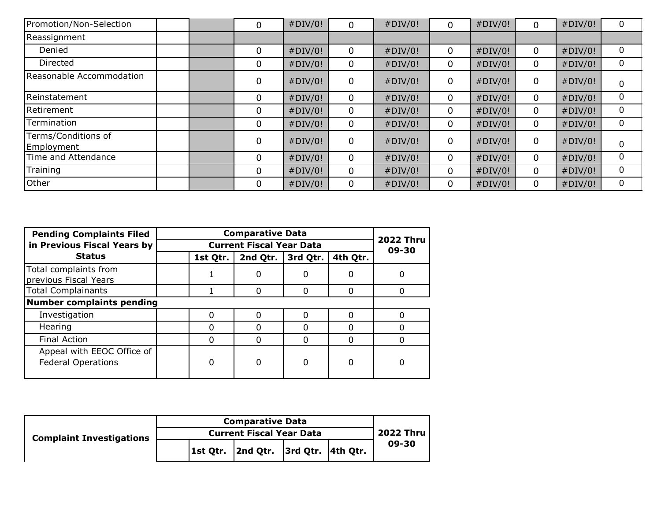| Promotion/Non-Selection           |  | 0 | #DIV/0! |             | #DIV/0! | $\Omega$    | #DIV/0! | $\Omega$     | #DIV/0! |   |
|-----------------------------------|--|---|---------|-------------|---------|-------------|---------|--------------|---------|---|
| Reassignment                      |  |   |         |             |         |             |         |              |         |   |
| Denied                            |  | 0 | #DIV/0! | 0           | #DIV/0! | $\mathbf 0$ | #DIV/0! | $\mathbf 0$  | #DIV/0! | 0 |
| Directed                          |  | 0 | #DIV/0! | 0           | #DIV/0! | 0           | #DIV/0! | $\mathbf{0}$ | #DIV/0! | 0 |
| Reasonable Accommodation          |  | 0 | #DIV/0! | 0           | #DIV/0! | 0           | #DIV/0! | $\mathbf 0$  | #DIV/0! |   |
| Reinstatement                     |  | 0 | #DIV/0! | 0           | #DIV/0! | $\mathbf 0$ | #DIV/0! | 0            | #DIV/0! | 0 |
| Retirement                        |  | 0 | #DIV/0! | 0           | #DIV/0! | $\mathbf 0$ | #DIV/0! | $\mathbf{0}$ | #DIV/0! |   |
| Termination                       |  | 0 | #DIV/0! | 0           | #DIV/0! | 0           | #DIV/0! | $\mathbf 0$  | #DIV/0! | 0 |
| Terms/Conditions of<br>Employment |  | 0 | #DIV/0! | $\mathbf 0$ | #DIV/0! | 0           | #DIV/0! | $\mathbf 0$  | #DIV/0! | 0 |
| Time and Attendance               |  | 0 | #DIV/0! | 0           | #DIV/0! | $\mathbf 0$ | #DIV/0! | $\mathbf 0$  | #DIV/0! |   |
| Training                          |  | 0 | #DIV/0! | 0           | #DIV/0! | 0           | #DIV/0! | $\mathbf 0$  | #DIV/0! | 0 |
| Other                             |  | 0 | #DIV/0! |             | #DIV/0! | 0           | #DIV/0! | $\mathbf{0}$ | #DIV/0! | 0 |

| <b>Pending Complaints Filed</b>                         |                                 | <b>Comparative Data</b>   |          |              |              |  |  |
|---------------------------------------------------------|---------------------------------|---------------------------|----------|--------------|--------------|--|--|
| in Previous Fiscal Years by                             | <b>Current Fiscal Year Data</b> | <b>2022 Thru</b><br>09-30 |          |              |              |  |  |
| <b>Status</b>                                           | 1st Qtr.                        | 2nd Qtr.                  | 3rd Qtr. | 4th Qtr.     |              |  |  |
| Total complaints from<br>previous Fiscal Years          |                                 | $\mathbf{0}$              | 0        | 0            | 0            |  |  |
| <b>Total Complainants</b>                               |                                 | $\Omega$                  | 0        | <sup>0</sup> | <sup>0</sup> |  |  |
| <b>Number complaints pending</b>                        |                                 |                           |          |              |              |  |  |
| Investigation                                           | 0                               | 0                         |          | 0            | <sup>0</sup> |  |  |
| Hearing                                                 | 0                               |                           |          | 0            | 0            |  |  |
| Final Action                                            | 0                               | $\Omega$                  | 0        | 0            | $\Omega$     |  |  |
| Appeal with EEOC Office of<br><b>Federal Operations</b> | 0                               | $\Omega$                  | $\Omega$ | 0            | $\Omega$     |  |  |

| <b>Complaint Investigations</b> |  | <b>Current Fiscal Year Data</b>        |  | 2022 Thru |
|---------------------------------|--|----------------------------------------|--|-----------|
|                                 |  | 1st Qtr.  2nd Qtr.  3rd Qtr.  4th Qtr. |  | 09-30     |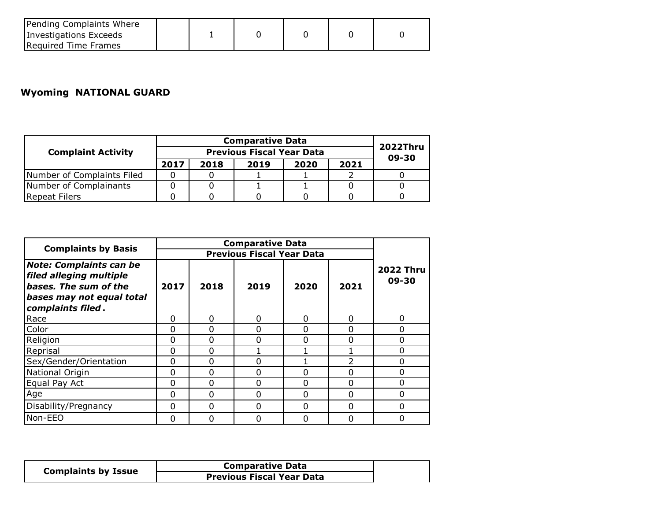| Pending Complaints Where |  |  |  |
|--------------------------|--|--|--|
| Investigations Exceeds   |  |  |  |
| Required Time Frames     |  |  |  |

## **Wyoming NATIONAL GUARD**

|                            |      |      | <b>Comparative Data</b>  |      |      |  |
|----------------------------|------|------|--------------------------|------|------|--|
| <b>Complaint Activity</b>  |      |      | <b>2022Thru</b><br>09-30 |      |      |  |
|                            | 2017 | 2018 | 2019                     | 2020 | 2021 |  |
| Number of Complaints Filed |      |      |                          |      |      |  |
| Number of Complainants     |      |      |                          |      |      |  |
| <b>Repeat Filers</b>       |      |      |                          |      |      |  |

| <b>Complaints by Basis</b>                                                                                                           |          |          |                                                                                                                                                                                         |          | 2021<br>O<br>O<br>0<br>O<br>0<br>0<br>0<br>0<br><sup>0</sup><br>$\Omega$<br><sup>0</sup><br>0<br><sup>0</sup><br>0<br>0 |  |
|--------------------------------------------------------------------------------------------------------------------------------------|----------|----------|-----------------------------------------------------------------------------------------------------------------------------------------------------------------------------------------|----------|-------------------------------------------------------------------------------------------------------------------------|--|
|                                                                                                                                      |          |          | <b>Comparative Data</b><br><b>Previous Fiscal Year Data</b><br><b>2022 Thru</b><br>09-30<br>2019<br>2020<br>0<br>0<br>0<br>O<br>0<br>O<br>O<br>0<br>$\Omega$<br>0<br>$\Omega$<br>0<br>0 |          |                                                                                                                         |  |
| <b>Note: Complaints can be</b><br>filed alleging multiple<br>bases. The sum of the<br>bases may not equal total<br>complaints filed. | 2017     | 2018     |                                                                                                                                                                                         |          |                                                                                                                         |  |
| Race                                                                                                                                 | O        | $\Omega$ |                                                                                                                                                                                         |          |                                                                                                                         |  |
| Color                                                                                                                                | 0        | $\Omega$ |                                                                                                                                                                                         |          |                                                                                                                         |  |
| Religion                                                                                                                             | 0        | 0        |                                                                                                                                                                                         |          |                                                                                                                         |  |
| Reprisal                                                                                                                             | 0        | 0        |                                                                                                                                                                                         |          |                                                                                                                         |  |
| Sex/Gender/Orientation                                                                                                               | 0        | $\Omega$ |                                                                                                                                                                                         |          |                                                                                                                         |  |
| National Origin                                                                                                                      | 0        | $\Omega$ |                                                                                                                                                                                         |          |                                                                                                                         |  |
| Equal Pay Act                                                                                                                        | 0        | $\Omega$ |                                                                                                                                                                                         |          |                                                                                                                         |  |
| Age                                                                                                                                  | 0        | $\Omega$ |                                                                                                                                                                                         |          |                                                                                                                         |  |
| Disability/Pregnancy                                                                                                                 | $\Omega$ | $\Omega$ | $\Omega$                                                                                                                                                                                | $\Omega$ |                                                                                                                         |  |
| Non-EEO                                                                                                                              | 0        | $\Omega$ | Ω                                                                                                                                                                                       | 0        | 0                                                                                                                       |  |

|                            | <b>Comparative Data</b>          |
|----------------------------|----------------------------------|
| <b>Complaints by Issue</b> | <b>Previous Fiscal Year Data</b> |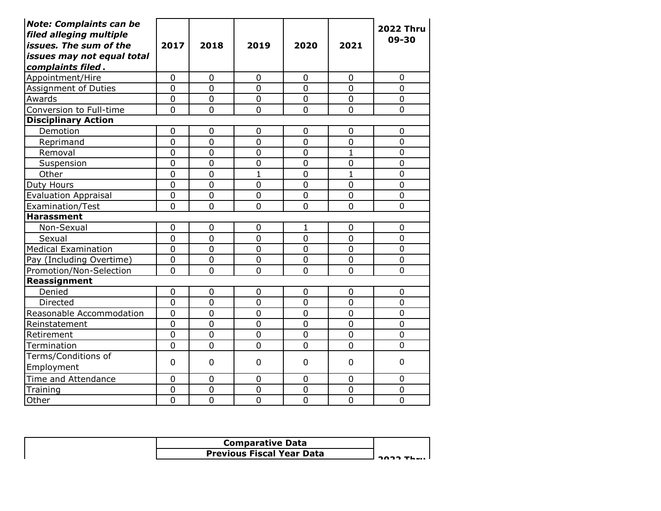| <b>Note: Complaints can be</b><br>filed alleging multiple<br>issues. The sum of the<br>issues may not equal total<br>complaints filed. | 2017           | 2018           | 2019           | 2020           | 2021             | <b>2022 Thru</b><br>09-30 |
|----------------------------------------------------------------------------------------------------------------------------------------|----------------|----------------|----------------|----------------|------------------|---------------------------|
| Appointment/Hire                                                                                                                       | $\overline{0}$ | $\overline{0}$ | $\overline{0}$ | $\overline{0}$ | $\overline{0}$   | $\Omega$                  |
| Assignment of Duties                                                                                                                   | $\overline{0}$ | 0              | $\overline{0}$ | $\overline{0}$ | $\overline{0}$   | 0                         |
| Awards                                                                                                                                 | $\overline{0}$ | $\overline{0}$ | $\overline{0}$ | $\Omega$       | $\overline{0}$   | $\mathbf 0$               |
| Conversion to Full-time                                                                                                                | 0              | $\mathbf 0$    | $\mathbf 0$    | $\mathbf 0$    | 0                | $\overline{0}$            |
| <b>Disciplinary Action</b>                                                                                                             |                |                |                |                |                  |                           |
| Demotion                                                                                                                               | $\overline{0}$ | $\mathbf 0$    | 0              | $\overline{0}$ | 0                | 0                         |
| Reprimand                                                                                                                              | $\overline{0}$ | $\overline{0}$ | $\overline{0}$ | $\overline{0}$ | 0                | $\overline{0}$            |
| Removal                                                                                                                                | $\overline{0}$ | $\overline{0}$ | $\overline{0}$ | $\overline{0}$ | $\mathbf{1}$     | $\overline{0}$            |
| Suspension                                                                                                                             | $\overline{0}$ | $\mathbf 0$    | $\overline{0}$ | $\mathbf 0$    | $\overline{0}$   | $\mathbf 0$               |
| Other                                                                                                                                  | $\overline{0}$ | $\overline{0}$ | $\mathbf{1}$   | $\overline{0}$ | $\mathbf{1}$     | 0                         |
| Duty Hours                                                                                                                             | $\mathbf 0$    | $\mathbf 0$    | $\overline{0}$ | $\mathbf 0$    | $\boldsymbol{0}$ | 0                         |
| <b>Evaluation Appraisal</b>                                                                                                            | $\mathbf 0$    | $\overline{0}$ | $\overline{0}$ | $\mathbf 0$    | $\overline{0}$   | $\mathbf 0$               |
| Examination/Test                                                                                                                       | $\overline{0}$ | $\overline{0}$ | $\overline{0}$ | $\overline{0}$ | 0                | 0                         |
| <b>Harassment</b>                                                                                                                      |                |                |                |                |                  |                           |
| Non-Sexual                                                                                                                             | 0              | $\mathbf 0$    | 0              | 1              | 0                | 0                         |
| Sexual                                                                                                                                 | $\overline{0}$ | $\overline{0}$ | $\overline{0}$ | $\mathbf 0$    | $\overline{0}$   | $\overline{0}$            |
| <b>Medical Examination</b>                                                                                                             | $\overline{0}$ | $\overline{0}$ | $\overline{0}$ | $\overline{0}$ | $\overline{0}$   | 0                         |
| Pay (Including Overtime)                                                                                                               | 0              | $\mathbf 0$    | $\mathbf 0$    | $\mathbf 0$    | 0                | 0                         |
| Promotion/Non-Selection                                                                                                                | $\overline{0}$ | $\overline{0}$ | 0              | $\overline{0}$ | 0                | $\overline{0}$            |
| Reassignment                                                                                                                           |                |                |                |                |                  |                           |
| Denied                                                                                                                                 | $\overline{0}$ | $\mathbf 0$    | 0              | $\overline{0}$ | 0                | 0                         |
| Directed                                                                                                                               | $\overline{0}$ | $\overline{0}$ | $\overline{0}$ | $\overline{0}$ | $\overline{0}$   | $\overline{0}$            |
| Reasonable Accommodation                                                                                                               | $\overline{0}$ | $\overline{0}$ | $\overline{0}$ | $\overline{0}$ | $\overline{0}$   | $\mathbf 0$               |
| Reinstatement                                                                                                                          | $\overline{0}$ | $\overline{0}$ | $\overline{0}$ | $\overline{0}$ | $\overline{0}$   | $\overline{0}$            |
| Retirement                                                                                                                             | $\overline{0}$ | $\mathbf 0$    | $\mathbf 0$    | $\mathbf 0$    | 0                | 0                         |
| Termination                                                                                                                            | 0              | $\overline{0}$ | $\overline{0}$ | $\overline{0}$ | 0                | $\overline{0}$            |
| Terms/Conditions of<br>Employment                                                                                                      | 0              | 0              | $\overline{0}$ | $\Omega$       | 0                | 0                         |
| Time and Attendance                                                                                                                    | $\overline{0}$ | $\mathbf 0$    | $\overline{0}$ | $\mathbf 0$    | 0                | 0                         |
| Training                                                                                                                               | $\mathbf 0$    | $\overline{0}$ | $\overline{0}$ | $\mathbf 0$    | $\mathbf 0$      | 0                         |
| Other                                                                                                                                  | $\overline{0}$ | $\overline{0}$ | $\overline{0}$ | $\overline{0}$ | $\overline{0}$   | $\overline{0}$            |

| <b>Comparative Data</b>          |  |
|----------------------------------|--|
| <b>Previous Fiscal Year Data</b> |  |
|                                  |  |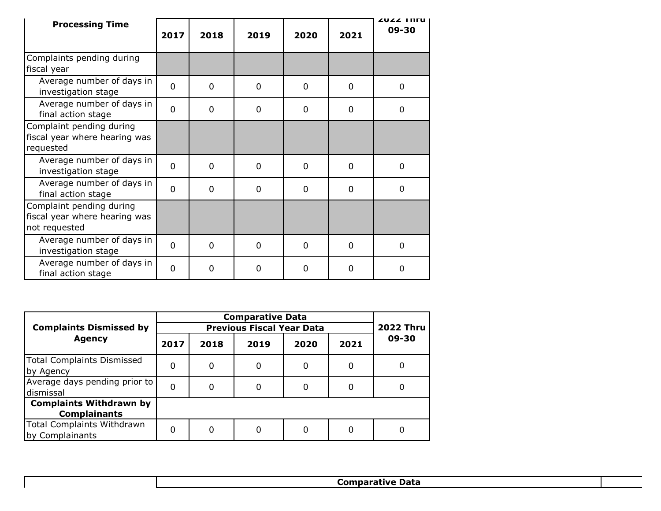| <b>Processing Time</b>                                                     | 2017           | 2018           | 2019        | 2020     | 2021        | ZUZZ THEY<br>09-30 |
|----------------------------------------------------------------------------|----------------|----------------|-------------|----------|-------------|--------------------|
| Complaints pending during<br>fiscal year                                   |                |                |             |          |             |                    |
| Average number of days in<br>investigation stage                           | $\Omega$       | $\overline{0}$ | 0           | $\Omega$ | $\mathbf 0$ | 0                  |
| Average number of days in<br>final action stage                            | $\overline{0}$ | 0              | $\Omega$    | 0        | 0           | 0                  |
| Complaint pending during<br>fiscal year where hearing was<br>requested     |                |                |             |          |             |                    |
| Average number of days in<br>investigation stage                           | $\mathbf{0}$   | 0              | $\Omega$    | $\Omega$ | 0           | 0                  |
| Average number of days in<br>final action stage                            | $\Omega$       | $\Omega$       | $\Omega$    | $\Omega$ | $\Omega$    | $\Omega$           |
| Complaint pending during<br>fiscal year where hearing was<br>not requested |                |                |             |          |             |                    |
| Average number of days in<br>investigation stage                           | $\mathbf{0}$   | 0              | $\mathbf 0$ | $\Omega$ | $\Omega$    | $\Omega$           |
| Average number of days in<br>final action stage                            | $\mathbf 0$    | 0              | 0           | 0        | 0           | 0                  |

|                                                       |      |      | <b>Comparative Data</b>          |      |      |                  |  |  |
|-------------------------------------------------------|------|------|----------------------------------|------|------|------------------|--|--|
| <b>Complaints Dismissed by</b>                        |      |      | <b>Previous Fiscal Year Data</b> |      |      | <b>2022 Thru</b> |  |  |
| <b>Agency</b>                                         | 2017 | 2018 | 2019                             | 2020 | 2021 | 09-30            |  |  |
| <b>Total Complaints Dismissed</b><br>by Agency        | 0    | 0    | 0                                | 0    | 0    | 0                |  |  |
| Average days pending prior to<br>dismissal            | 0    | 0    |                                  | 0    |      | 0                |  |  |
| <b>Complaints Withdrawn by</b><br><b>Complainants</b> |      |      |                                  |      |      |                  |  |  |
| Total Complaints Withdrawn<br>by Complainants         | 0    | 0    |                                  | 0    | 0    | 0                |  |  |

**Comparative Data**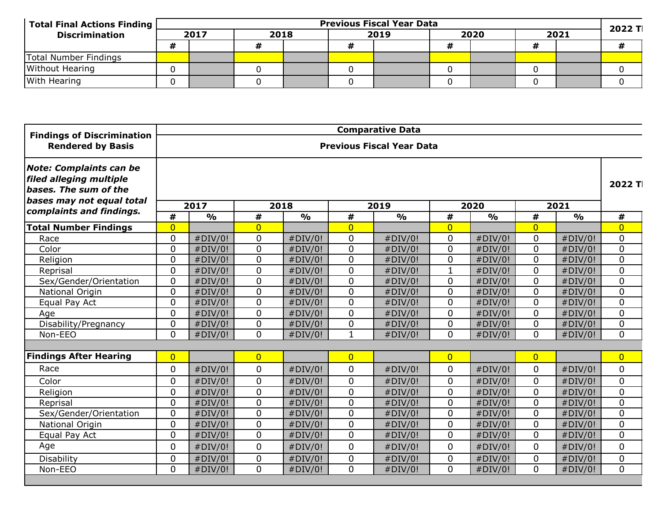| Total Final Actions Finding |   | <b>Previous Fiscal Year Data</b> |      |  |  |      |  |      |  |      |  | 2022 TI |  |
|-----------------------------|---|----------------------------------|------|--|--|------|--|------|--|------|--|---------|--|
| <b>Discrimination</b>       |   | 2017                             | 2018 |  |  | 2019 |  | 2020 |  | 2021 |  |         |  |
|                             | Н |                                  |      |  |  |      |  |      |  |      |  |         |  |
| Total Number Findings       |   |                                  |      |  |  |      |  |      |  |      |  |         |  |
| <b>Without Hearing</b>      |   |                                  |      |  |  |      |  |      |  |      |  |         |  |
| <b>With Hearing</b>         |   |                                  |      |  |  |      |  |      |  |      |  |         |  |

| <b>Findings of Discrimination</b>                                                                               |                |                                  |                |                       |                | <b>Comparative Data</b> |                |                       |                |                       |                |  |
|-----------------------------------------------------------------------------------------------------------------|----------------|----------------------------------|----------------|-----------------------|----------------|-------------------------|----------------|-----------------------|----------------|-----------------------|----------------|--|
| <b>Rendered by Basis</b>                                                                                        |                | <b>Previous Fiscal Year Data</b> |                |                       |                |                         |                |                       |                |                       |                |  |
| <b>Note: Complaints can be</b><br>filed alleging multiple<br>bases. The sum of the<br>bases may not equal total |                |                                  |                |                       |                |                         |                |                       |                |                       | 2022 T         |  |
| complaints and findings.                                                                                        | #              | 2017<br>$\frac{0}{0}$            | #              | 2018<br>$\frac{1}{2}$ | #              | 2019<br>$\frac{1}{2}$   | #              | 2020<br>$\frac{0}{0}$ | #              | 2021<br>$\frac{1}{2}$ | #              |  |
| <b>Total Number Findings</b>                                                                                    | $\overline{0}$ |                                  | $\overline{0}$ |                       | $\overline{0}$ |                         | $\Omega$       |                       | $\overline{0}$ |                       | $\overline{0}$ |  |
| Race                                                                                                            | $\Omega$       | #DIV/0!                          | $\mathbf 0$    | #DIV/0!               | $\mathbf 0$    | #DIV/0!                 | 0              | #DIV/0!               | $\mathbf{0}$   | #DIV/0!               | $\Omega$       |  |
| Color                                                                                                           | $\mathbf 0$    | #DIV/0!                          | $\mathbf 0$    | #DIV/0!               | $\mathbf 0$    | #DIV/0!                 | $\mathbf 0$    | #DIV/0!               | $\mathbf 0$    | #DIV/0!               | 0              |  |
| Religion                                                                                                        | $\mathbf 0$    | #DIV/0!                          | 0              | #DIV/0!               | $\mathbf 0$    | #DIV/0!                 | $\mathbf 0$    | #DIV/0!               | $\mathbf 0$    | #DIV/0!               | 0              |  |
| Reprisal                                                                                                        | $\mathbf 0$    | #DIV/0!                          | 0              | #DIV/0!               | $\mathbf 0$    | #DIV/0!                 | $\mathbf{1}$   | #DIV/0!               | $\mathbf 0$    | #DIV/0!               | 0              |  |
| Sex/Gender/Orientation                                                                                          | $\mathbf 0$    | #DIV/0!                          | $\mathbf 0$    | #DIV/0!               | $\mathbf{0}$   | #DIV/0!                 | $\mathbf 0$    | #DIV/0!               | $\mathbf 0$    | #DIV/0!               | 0              |  |
| National Origin                                                                                                 | $\mathbf 0$    | #DIV/0!                          | $\mathbf 0$    | #DIV/0!               | $\mathbf{0}$   | #DIV/0!                 | $\mathbf 0$    | #DIV/0!               | $\mathbf 0$    | #DIV/0!               | 0              |  |
| Equal Pay Act                                                                                                   | 0              | #DIV/0!                          | 0              | #DIV/0!               | $\mathbf{0}$   | #DIV/0!                 | $\mathbf 0$    | #DIV/0!               | $\mathbf 0$    | #DIV/0!               | 0              |  |
| Age                                                                                                             | 0              | #DIV/0!                          | 0              | #DIV/0!               | $\overline{0}$ | #DIV/0!                 | 0              | #DIV/0!               | $\Omega$       | #DIV/0!               | 0              |  |
| Disability/Pregnancy                                                                                            | $\mathbf 0$    | #DIV/0!                          | $\mathbf 0$    | #DIV/0!               | $\mathbf 0$    | #DIV/0!                 | 0              | #DIV/0!               | $\mathbf 0$    | #DIV/0!               | 0              |  |
| Non-EEO                                                                                                         | $\mathbf 0$    | #DIV/0!                          | 0              | #DIV/0!               | $\mathbf 1$    | #DIV/0!                 | 0              | #DIV/0!               | $\Omega$       | #DIV/0!               | 0              |  |
|                                                                                                                 |                |                                  |                |                       |                |                         |                |                       |                |                       |                |  |
| <b>Findings After Hearing</b>                                                                                   | $\overline{0}$ |                                  | $\overline{0}$ |                       | $\overline{0}$ |                         | $\overline{0}$ |                       | $\overline{0}$ |                       | $\overline{0}$ |  |
| Race                                                                                                            | 0              | #DIV/0!                          | $\mathbf 0$    | #DIV/0!               | $\mathbf 0$    | #DIV/0!                 | 0              | #DIV/0!               | $\mathbf 0$    | #DIV/0!               | 0              |  |
| Color                                                                                                           | $\mathbf 0$    | #DIV/0!                          | 0              | #DIV/0!               | $\mathbf{0}$   | #DIV/0!                 | 0              | #DIV/0!               | $\mathbf 0$    | #DIV/0!               | 0              |  |
| Religion                                                                                                        | $\mathbf 0$    | #DIV/0!                          | 0              | #DIV/0!               | $\mathbf{0}$   | #DIV/0!                 | 0              | #DIV/0!               | $\mathbf 0$    | #DIV/0!               | 0              |  |
| Reprisal                                                                                                        | $\mathbf 0$    | #DIV/0!                          | 0              | #DIV/0!               | $\mathbf 0$    | #DIV/0!                 | 0              | #DIV/0!               | $\mathbf 0$    | #DIV/0!               | 0              |  |
| Sex/Gender/Orientation                                                                                          | $\mathbf 0$    | #DIV/0!                          | 0              | #DIV/0!               | $\mathbf{0}$   | #DIV/0!                 | 0              | #DIV/0!               | $\mathbf 0$    | #DIV/0!               | 0              |  |
| National Origin                                                                                                 | $\mathbf 0$    | #DIV/0!                          | $\pmb{0}$      | #DIV/0!               | $\mathbf{0}$   | #DIV/0!                 | $\mathbf 0$    | #DIV/0!               | $\mathbf 0$    | #DIV/0!               | 0              |  |
| Equal Pay Act                                                                                                   | $\mathbf 0$    | #DIV/0!                          | 0              | #DIV/0!               | $\mathbf{0}$   | #DIV/0!                 | 0              | #DIV/0!               | $\mathbf 0$    | #DIV/0!               | 0              |  |
| Age                                                                                                             | 0              | #DIV/0!                          | 0              | #DIV/0!               | $\mathbf 0$    | #DIV/0!                 | 0              | #DIV/0!               | $\mathbf 0$    | #DIV/0!               | 0              |  |
| <b>Disability</b>                                                                                               | $\mathbf 0$    | #DIV/0!                          | $\mathbf 0$    | #DIV/0!               | $\mathbf 0$    | #DIV/0!                 | $\mathbf 0$    | #DIV/0!               | $\mathbf 0$    | #DIV/0!               | 0              |  |
| Non-EEO                                                                                                         | $\Omega$       | #DIV/0!                          | $\overline{0}$ | #DIV/0!               | $\Omega$       | #DIV/0!                 | $\mathbf 0$    | #DIV/0!               | $\Omega$       | #DIV/0!               | $\overline{0}$ |  |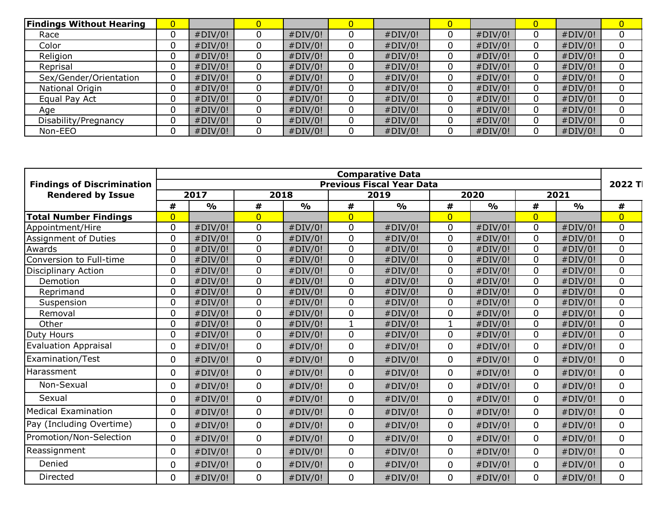| <b>Findings Without Hearing</b> | 0 |         |   |         |         | 0 |         |   |         |  |
|---------------------------------|---|---------|---|---------|---------|---|---------|---|---------|--|
| Race                            | υ | #DIV/0! | 0 | #DIV/0! | #DIV/0! |   | #DIV/0! |   | #DIV/0! |  |
| Color                           |   | #DIV/0! | 0 | #DIV/0! | #DIV/0! |   | #DIV/0! | 0 | #DIV/0! |  |
| Religion                        |   | #DIV/0! |   | #DIV/0! | #DIV/0! |   | #DIV/0! |   | #DIV/0! |  |
| Reprisal                        | 0 | #DIV/0! |   | #DIV/0! | #DIV/0! |   | #DIV/0! | 0 | #DIV/0! |  |
| Sex/Gender/Orientation          | 0 | #DIV/0! | 0 | #DIV/0! | #DIV/0! |   | #DIV/0! | 0 | #DIV/0! |  |
| National Origin                 |   | #DIV/0! |   | #DIV/0! | #DIV/0! |   | #DIV/0! |   | #DIV/0! |  |
| Equal Pay Act                   |   | #DIV/0! | 0 | #DIV/0! | #DIV/0! |   | #DIV/0! | 0 | #DIV/0! |  |
| Age                             |   | #DIV/0! | 0 | #DIV/0! | #DIV/0! |   | #DIV/0! | 0 | #DIV/0! |  |
| Disability/Pregnancy            |   | #DIV/0! |   | #DIV/0! | #DIV/0! |   | #DIV/0! |   | #DIV/0! |  |
| Non-EEO                         |   | #DIV/0! |   | #DIV/0! | #DIV/0! |   | #DIV/0! |   | #DIV/0! |  |

|                                   |                |               |                |                                  |                | <b>Comparative Data</b> |                |               |                |               | 2022 T         |
|-----------------------------------|----------------|---------------|----------------|----------------------------------|----------------|-------------------------|----------------|---------------|----------------|---------------|----------------|
| <b>Findings of Discrimination</b> |                |               |                | <b>Previous Fiscal Year Data</b> |                |                         |                |               |                |               |                |
| <b>Rendered by Issue</b>          |                | 2017<br>2018  |                |                                  |                |                         | 2020<br>2019   |               | 2021           |               |                |
|                                   | #              | $\frac{0}{0}$ | #              | $\frac{1}{2}$                    | #              | $\frac{1}{2}$           | #              | $\frac{0}{0}$ | #              | $\frac{0}{0}$ | #              |
| <b>Total Number Findings</b>      | $\overline{0}$ |               | $\overline{0}$ |                                  | $\overline{0}$ |                         | $\overline{0}$ |               | $\overline{0}$ |               | $\overline{0}$ |
| Appointment/Hire                  | 0              | #DIV/0!       | $\mathbf 0$    | #DIV/0!                          | $\mathbf 0$    | #DIV/0!                 | 0              | #DIV/0!       | $\mathbf 0$    | #DIV/0!       | 0              |
| Assignment of Duties              | 0              | #DIV/0!       | 0              | #DIV/0!                          | $\Omega$       | #DIV/0!                 | 0              | #DIV/0!       | $\Omega$       | #DIV/0!       | 0              |
| Awards                            | $\Omega$       | #DIV/0!       | 0              | #DIV/0!                          | $\mathbf 0$    | #DIV/0!                 | 0              | #DIV/0!       | $\mathbf 0$    | #DIV/0!       | 0              |
| Conversion to Full-time           | 0              | #DIV/0!       | 0              | #DIV/0!                          | $\Omega$       | #DIV/0!                 | 0              | #DIV/0!       | $\Omega$       | #DIV/0!       | 0              |
| <b>Disciplinary Action</b>        | 0              | #DIV/0!       | 0              | #DIV/0!                          | $\mathbf 0$    | #DIV/0!                 | 0              | #DIV/0!       | $\mathbf 0$    | #DIV/0!       | 0              |
| Demotion                          | $\Omega$       | #DIV/0!       | 0              | #DIV/0!                          | $\Omega$       | #DIV/0!                 | 0              | #DIV/0!       | $\Omega$       | #DIV/0!       | 0              |
| Reprimand                         | 0              | #DIV/0!       | 0              | #DIV/0!                          | $\mathbf 0$    | #DIV/0!                 | 0              | #DIV/0!       | $\mathbf 0$    | #DIV/0!       | 0              |
| Suspension                        | 0              | #DIV/0!       | 0              | #DIV/0!                          | $\mathbf 0$    | #DIV/0!                 | 0              | #DIV/0!       | $\mathbf 0$    | #DIV/0!       | 0              |
| Removal                           | 0              | #DIV/0!       | 0              | #DIV/0!                          | $\mathbf{0}$   | #DIV/0!                 | 0              | #DIV/0!       | $\mathbf 0$    | #DIV/0!       | 0              |
| Other                             | 0              | #DIV/0!       | 0              | #DIV/0!                          | 1              | #DIV/0!                 | 1              | #DIV/0!       | $\mathbf 0$    | #DIV/0!       | 0              |
| Duty Hours                        | 0              | #DIV/0!       | 0              | #DIV/0!                          | $\mathbf 0$    | #DIV/0!                 | 0              | #DIV/0!       | $\mathbf 0$    | #DIV/0!       | 0              |
| <b>Evaluation Appraisal</b>       | 0              | #DIV/0!       | 0              | #DIV/0!                          | $\mathbf 0$    | #DIV/0!                 | $\mathbf 0$    | #DIV/0!       | $\mathbf 0$    | #DIV/0!       | 0              |
| Examination/Test                  | 0              | #DIV/0!       | 0              | #DIV/0!                          | $\mathbf{0}$   | #DIV/0!                 | 0              | #DIV/0!       | $\mathbf 0$    | #DIV/0!       | 0              |
| Harassment                        | 0              | #DIV/0!       | 0              | #DIV/0!                          | $\mathbf 0$    | #DIV/0!                 | 0              | #DIV/0!       | $\mathbf 0$    | #DIV/0!       | 0              |
| Non-Sexual                        | 0              | #DIV/0!       | 0              | #DIV/0!                          | $\Omega$       | #DIV/0!                 | 0              | #DIV/0!       | $\mathbf{0}$   | #DIV/0!       | $\Omega$       |
| Sexual                            | 0              | #DIV/0!       | 0              | #DIV/0!                          | $\Omega$       | #DIV/0!                 | 0              | #DIV/0!       | $\mathbf 0$    | #DIV/0!       | 0              |
| <b>Medical Examination</b>        | 0              | #DIV/0!       | $\mathbf 0$    | #DIV/0!                          | $\Omega$       | #DIV/0!                 | $\Omega$       | #DIV/0!       | $\mathbf{0}$   | #DIV/0!       | 0              |
| Pay (Including Overtime)          | 0              | #DIV/0!       | 0              | #DIV/0!                          | $\mathbf{0}$   | #DIV/0!                 | 0              | #DIV/0!       | 0              | #DIV/0!       | 0              |
| Promotion/Non-Selection           | $\overline{0}$ | #DIV/0!       | $\mathbf 0$    | #DIV/0!                          | $\mathbf 0$    | #DIV/0!                 | $\mathbf 0$    | #DIV/0!       | $\mathbf 0$    | #DIV/0!       | 0              |
| Reassignment                      | 0              | #DIV/0!       | 0              | #DIV/0!                          | $\mathbf 0$    | #DIV/0!                 | 0              | #DIV/0!       | $\mathbf 0$    | #DIV/0!       | 0              |
| Denied                            | 0              | #DIV/0!       | 0              | #DIV/0!                          | $\mathbf 0$    | #DIV/0!                 | 0              | #DIV/0!       | $\mathbf 0$    | #DIV/0!       | 0              |
| Directed                          | $\mathbf{0}$   | #DIV/0!       | 0              | #DIV/0!                          | $\mathbf 0$    | #DIV/0!                 | 0              | #DIV/0!       | $\mathbf 0$    | #DIV/0!       | 0              |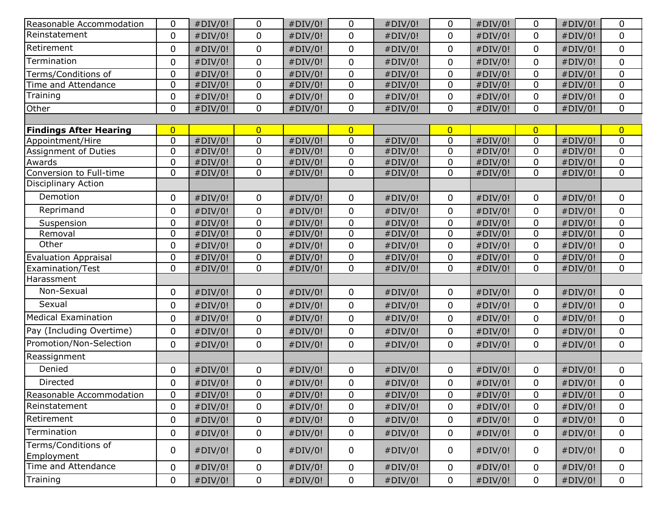| Reasonable Accommodation                              | 0              | #DIV/0! | 0              | #DIV/0! | 0              | #DIV/0! | $\mathbf 0$    | #DIV/0! | $\mathbf 0$    | #DIV/0! | 0              |
|-------------------------------------------------------|----------------|---------|----------------|---------|----------------|---------|----------------|---------|----------------|---------|----------------|
| Reinstatement                                         | 0              | #DIV/0! | 0              | #DIV/0! | 0              | #DIV/0! | $\mathbf 0$    | #DIV/0! | $\mathbf{0}$   | #DIV/0! | $\mathbf 0$    |
| Retirement                                            | 0              | #DIV/0! | 0              | #DIV/0! | 0              | #DIV/0! | $\mathbf{0}$   | #DIV/0! | $\mathbf{0}$   | #DIV/0! | $\mathbf 0$    |
| Termination                                           | 0              | #DIV/0! | 0              | #DIV/0! | 0              | #DIV/0! | $\mathbf 0$    | #DIV/0! | $\mathbf 0$    | #DIV/0! | $\mathbf 0$    |
| Terms/Conditions of                                   | 0              | #DIV/0! | 0              | #DIV/0! | 0              | #DIV/0! | $\mathbf 0$    | #DIV/0! | $\mathbf 0$    | #DIV/0! | $\mathbf 0$    |
| Time and Attendance                                   | 0              | #DIV/0! | 0              | #DIV/0! | 0              | #DIV/0! | $\mathbf 0$    | #DIV/0! | $\mathbf 0$    | #DIV/0! | $\mathbf 0$    |
| Training                                              | 0              | #DIV/0! | 0              | #DIV/0! | 0              | #DIV/0! | $\mathbf 0$    | #DIV/0! | $\mathbf 0$    | #DIV/0! | $\mathbf 0$    |
| Other                                                 | 0              | #DIV/0! | 0              | #DIV/0! | 0              | #DIV/0! | $\mathbf 0$    | #DIV/0! | $\mathbf{0}$   | #DIV/0! | $\mathbf 0$    |
|                                                       |                |         |                |         |                |         |                |         |                |         |                |
| <b>Findings After Hearing</b>                         | $\overline{0}$ |         | $\overline{0}$ |         | $\overline{0}$ |         | $\overline{0}$ |         | $\overline{0}$ |         | $\overline{0}$ |
| Appointment/Hire                                      | 0              | #DIV/0! | 0              | #DIV/0! | 0              | #DIV/0! | $\mathbf 0$    | #DIV/0! | $\mathbf 0$    | #DIV/0! | $\mathbf 0$    |
| Assignment of Duties                                  | $\mathbf 0$    | #DIV/0! | 0              | #DIV/0! | 0              | #DIV/0! | $\mathbf 0$    | #DIV/0! | $\mathbf 0$    | #DIV/0! | $\mathbf 0$    |
| Awards                                                | 0              | #DIV/0! | 0              | #DIV/0! | 0              | #DIV/0! | $\mathbf{0}$   | #DIV/0! | $\mathbf 0$    | #DIV/0! | $\mathbf 0$    |
| Conversion to Full-time<br><b>Disciplinary Action</b> | 0              | #DIV/0! | 0              | #DIV/0! | 0              | #DIV/0! | $\mathbf 0$    | #DIV/0! | $\mathbf 0$    | #DIV/0! | $\mathbf 0$    |
|                                                       |                |         |                |         |                |         |                |         |                |         |                |
| Demotion                                              | 0              | #DIV/0! | 0              | #DIV/0! | 0              | #DIV/0! | 0              | #DIV/0! | 0              | #DIV/0! | 0              |
| Reprimand                                             | 0              | #DIV/0! | 0              | #DIV/0! | 0              | #DIV/0! | $\mathbf 0$    | #DIV/0! | $\mathbf{0}$   | #DIV/0! | $\mathbf 0$    |
| Suspension                                            | 0              | #DIV/0! | 0              | #DIV/0! | 0              | #DIV/0! | 0              | #DIV/0! | $\mathbf 0$    | #DIV/0! | 0              |
| Removal                                               | 0              | #DIV/0! | 0              | #DIV/0! | 0              | #DIV/0! | $\mathbf 0$    | #DIV/0! | $\mathbf 0$    | #DIV/0! | $\mathbf 0$    |
| Other                                                 | 0              | #DIV/0! | 0              | #DIV/0! | 0              | #DIV/0! | $\mathbf 0$    | #DIV/0! | $\mathbf 0$    | #DIV/0! | $\mathbf 0$    |
| <b>Evaluation Appraisal</b>                           | 0              | #DIV/0! | 0              | #DIV/0! | 0              | #DIV/0! | $\mathbf 0$    | #DIV/0! | $\mathbf 0$    | #DIV/0! | 0              |
| Examination/Test                                      | 0              | #DIV/0! | 0              | #DIV/0! | 0              | #DIV/0! | $\mathbf 0$    | #DIV/0! | $\mathbf 0$    | #DIV/0! | $\mathbf 0$    |
| Harassment                                            |                |         |                |         |                |         |                |         |                |         |                |
| Non-Sexual                                            | 0              | #DIV/0! | 0              | #DIV/0! | 0              | #DIV/0! | 0              | #DIV/0! | 0              | #DIV/0! | 0              |
| Sexual                                                | 0              | #DIV/0! | 0              | #DIV/0! | 0              | #DIV/0! | $\mathbf 0$    | #DIV/0! | $\mathbf{0}$   | #DIV/0! | $\mathbf 0$    |
| <b>Medical Examination</b>                            | 0              | #DIV/0! | 0              | #DIV/0! | 0              | #DIV/0! | $\mathbf 0$    | #DIV/0! | 0              | #DIV/0! | $\mathbf 0$    |
| Pay (Including Overtime)                              | 0              | #DIV/0! | 0              | #DIV/0! | 0              | #DIV/0! | $\mathbf 0$    | #DIV/0! | $\mathbf 0$    | #DIV/0! | $\mathbf 0$    |
| Promotion/Non-Selection                               | 0              | #DIV/0! | 0              | #DIV/0! | 0              | #DIV/0! | $\mathbf 0$    | #DIV/0! | $\mathbf{0}$   | #DIV/0! | $\mathbf 0$    |
| Reassignment                                          |                |         |                |         |                |         |                |         |                |         |                |
| Denied                                                | 0              | #DIV/0! | 0              | #DIV/0! | 0              | #DIV/0! | $\mathbf{0}$   | #DIV/0! | $\mathbf{0}$   | #DIV/0! | $\mathbf 0$    |
| Directed                                              | 0              | #DIV/0! | 0              | #DIV/0! | 0              | #DIV/0! | $\mathbf 0$    | #DIV/0! | $\mathbf 0$    | #DIV/0! | $\mathbf 0$    |
| Reasonable Accommodation                              | 0              | #DIV/0! | 0              | #DIV/0! | 0              | #DIV/0! | 0              | #DIV/0! | 0              | #DIV/0! | 0              |
| Reinstatement                                         | 0              | #DIV/0! | 0              | #DIV/0! | 0              | #DIV/0! | $\mathbf{0}$   | #DIV/0! | $\mathbf 0$    | #DIV/0! | $\mathbf 0$    |
| Retirement                                            | 0              | #DIV/0! | 0              | #DIV/0! | 0              | #DIV/0! | $\mathbf 0$    | #DIV/0! | $\mathbf{0}$   | #DIV/0! | $\Omega$       |
| Termination                                           | 0              | #DIV/0! | 0              | #DIV/0! | 0              | #DIV/0! | $\mathsf{O}$   | #DIV/0! | $\mathbf 0$    | #DIV/0! | 0              |
| Terms/Conditions of<br>Employment                     | 0              | #DIV/0! | 0              | #DIV/0! | 0              | #DIV/0! | $\mathbf 0$    | #DIV/0! | $\mathbf 0$    | #DIV/0! | $\mathbf 0$    |
| Time and Attendance                                   | 0              | #DIV/0! | 0              | #DIV/0! | 0              | #DIV/0! | 0              | #DIV/0! | 0              | #DIV/0! | 0              |
| Training                                              | 0              | #DIV/0! | 0              | #DIV/0! | 0              | #DIV/0! | $\mathbf 0$    | #DIV/0! | $\mathbf 0$    | #DIV/0! | $\mathbf 0$    |
|                                                       |                |         |                |         |                |         |                |         |                |         |                |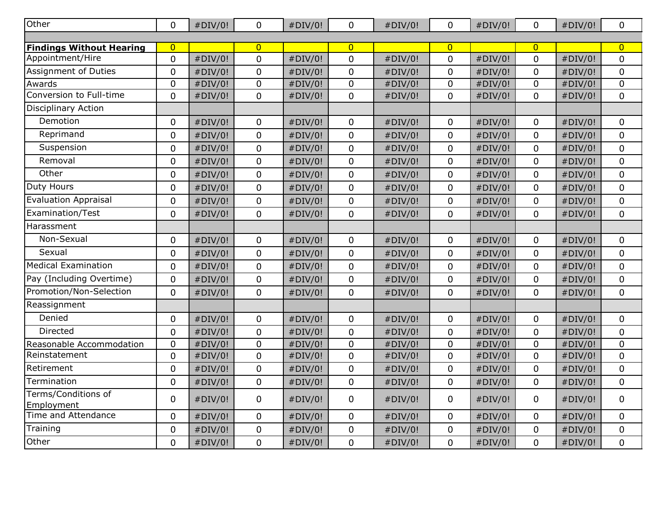| <b>Other</b>                      | $\mathbf 0$    | #DIV/0! | 0              | #DIV/0! | 0                | #DIV/0! | $\mathbf 0$         | #DIV/0! | $\mathbf 0$    | #DIV/0! | $\mathbf 0$    |
|-----------------------------------|----------------|---------|----------------|---------|------------------|---------|---------------------|---------|----------------|---------|----------------|
|                                   |                |         |                |         |                  |         |                     |         |                |         |                |
| <b>Findings Without Hearing</b>   | $\overline{0}$ |         | $\overline{0}$ |         | $\overline{0}$   |         | $\overline{0}$      |         | $\overline{0}$ |         | $\overline{0}$ |
| Appointment/Hire                  | $\mathbf 0$    | #DIV/0! | $\pmb{0}$      | #DIV/0! | $\mathbf 0$      | #DIV/0! | $\mathbf 0$         | #DIV/0! | $\mathbf 0$    | #DIV/0! | $\mathbf 0$    |
| Assignment of Duties              | $\mathbf 0$    | #DIV/0! | 0              | #DIV/0! | $\mathbf 0$      | #DIV/0! | 0                   | #DIV/0! | $\mathbf 0$    | #DIV/0! | $\mathbf 0$    |
| Awards<br>Conversion to Full-time | $\mathbf 0$    | #DIV/0! | 0              | #DIV/0! | $\mathbf 0$      | #DIV/0! | $\mathsf{O}\xspace$ | #DIV/0! | $\pmb{0}$      | #DIV/0! | $\mathbf 0$    |
|                                   | $\mathbf 0$    | #DIV/0! | 0              | #DIV/0! | $\mathbf 0$      | #DIV/0! | $\mathbf 0$         | #DIV/0! | $\mathbf 0$    | #DIV/0! | $\pmb{0}$      |
| <b>Disciplinary Action</b>        |                |         |                |         |                  |         |                     |         |                |         |                |
| Demotion                          | $\mathbf 0$    | #DIV/0! | 0              | #DIV/0! | $\mathbf 0$      | #DIV/0! | $\mathbf 0$         | #DIV/0! | 0              | #DIV/0! | $\mathbf 0$    |
| Reprimand                         | $\mathbf 0$    | #DIV/0! | 0              | #DIV/0! | $\mathbf 0$      | #DIV/0! | 0                   | #DIV/0! | $\mathbf 0$    | #DIV/0! | $\mathbf 0$    |
| Suspension                        | $\mathbf 0$    | #DIV/0! | 0              | #DIV/0! | $\overline{0}$   | #DIV/0! | $\mathbf 0$         | #DIV/0! | 0              | #DIV/0! | $\mathbf 0$    |
| Removal                           | $\mathbf 0$    | #DIV/0! | $\pmb{0}$      | #DIV/0! | $\mathbf 0$      | #DIV/0! | $\mathbf 0$         | #DIV/0! | $\mathbf 0$    | #DIV/0! | $\mathbf 0$    |
| Other                             | $\mathbf 0$    | #DIV/0! | 0              | #DIV/0! | $\mathbf 0$      | #DIV/0! | $\mathbf 0$         | #DIV/0! | 0              | #DIV/0! | 0              |
| <b>Duty Hours</b>                 | $\mathbf 0$    | #DIV/0! | $\pmb{0}$      | #DIV/0! | $\mathbf 0$      | #DIV/0! | $\mathbf 0$         | #DIV/0! | $\mathbf 0$    | #DIV/0! | $\mathbf 0$    |
| <b>Evaluation Appraisal</b>       | $\mathbf 0$    | #DIV/0! | 0              | #DIV/0! | $\boldsymbol{0}$ | #DIV/0! | $\mathbf 0$         | #DIV/0! | $\mathbf 0$    | #DIV/0! | $\mathbf 0$    |
| Examination/Test                  | $\pmb{0}$      | #DIV/0! | $\pmb{0}$      | #DIV/0! | $\mathbf 0$      | #DIV/0! | $\mathbf 0$         | #DIV/0! | $\pmb{0}$      | #DIV/0! | $\pmb{0}$      |
| Harassment                        |                |         |                |         |                  |         |                     |         |                |         |                |
| Non-Sexual                        | $\mathbf 0$    | #DIV/0! | 0              | #DIV/0! | $\mathbf 0$      | #DIV/0! | $\mathbf 0$         | #DIV/0! | $\mathbf 0$    | #DIV/0! | $\mathbf 0$    |
| Sexual                            | $\mathbf 0$    | #DIV/0! | $\pmb{0}$      | #DIV/0! | $\mathbf 0$      | #DIV/0! | $\mathbf 0$         | #DIV/0! | $\mathbf 0$    | #DIV/0! | $\mathbf 0$    |
| <b>Medical Examination</b>        | $\mathbf 0$    | #DIV/0! | 0              | #DIV/0! | $\mathbf 0$      | #DIV/0! | $\mathbf 0$         | #DIV/0! | 0              | #DIV/0! | $\mathbf 0$    |
| Pay (Including Overtime)          | $\mathbf 0$    | #DIV/0! | $\pmb{0}$      | #DIV/0! | $\pmb{0}$        | #DIV/0! | $\mathbf 0$         | #DIV/0! | $\mathbf 0$    | #DIV/0! | $\mathbf 0$    |
| Promotion/Non-Selection           | $\mathbf 0$    | #DIV/0! | 0              | #DIV/0! | $\overline{0}$   | #DIV/0! | $\mathbf 0$         | #DIV/0! | $\mathbf 0$    | #DIV/0! | $\mathbf 0$    |
| Reassignment                      |                |         |                |         |                  |         |                     |         |                |         |                |
| Denied                            | $\mathbf 0$    | #DIV/0! | 0              | #DIV/0! | $\mathbf 0$      | #DIV/0! | $\mathbf 0$         | #DIV/0! | $\mathbf 0$    | #DIV/0! | $\mathbf 0$    |
| Directed                          | $\mathbf 0$    | #DIV/0! | 0              | #DIV/0! | $\mathbf 0$      | #DIV/0! | 0                   | #DIV/0! | $\mathbf 0$    | #DIV/0! | 0              |
| Reasonable Accommodation          | $\pmb{0}$      | #DIV/0! | 0              | #DIV/0! | $\mathbf 0$      | #DIV/0! | $\mathbf 0$         | #DIV/0! | $\pmb{0}$      | #DIV/0! | $\mathbf 0$    |
| Reinstatement                     | $\mathbf 0$    | #DIV/0! | 0              | #DIV/0! | $\mathbf 0$      | #DIV/0! | $\mathbf 0$         | #DIV/0! | $\mathbf 0$    | #DIV/0! | 0              |
| Retirement                        | $\pmb{0}$      | #DIV/0! | 0              | #DIV/0! | $\pmb{0}$        | #DIV/0! | $\pmb{0}$           | #DIV/0! | $\mathbf 0$    | #DIV/0! | $\mathbf 0$    |
| Termination                       | $\mathbf 0$    | #DIV/0! | $\pmb{0}$      | #DIV/0! | $\pmb{0}$        | #DIV/0! | $\mathbf 0$         | #DIV/0! | 0              | #DIV/0! | $\mathbf 0$    |
| Terms/Conditions of               | 0              | #DIV/0! | 0              | #DIV/0! | $\mathbf 0$      | #DIV/0! | $\mathbf 0$         | #DIV/0! | 0              | #DIV/0! | $\mathbf 0$    |
| Employment<br>Time and Attendance | $\mathbf 0$    |         |                |         |                  |         | $\mathbf 0$         |         | $\mathbf 0$    |         |                |
|                                   |                | #DIV/0! | 0              | #DIV/0! | $\mathbf 0$      | #DIV/0! |                     | #DIV/0! |                | #DIV/0! | 0              |
| Training                          | $\pmb{0}$      | #DIV/0! | $\pmb{0}$      | #DIV/0! | $\pmb{0}$        | #DIV/0! | $\pmb{0}$           | #DIV/0! | 0              | #DIV/0! | $\pmb{0}$      |
| Other                             | 0              | #DIV/0! | $\mathbf 0$    | #DIV/0! | $\mathbf 0$      | #DIV/0! | $\mathbf 0$         | #DIV/0! | $\mathbf 0$    | #DIV/0! | $\pmb{0}$      |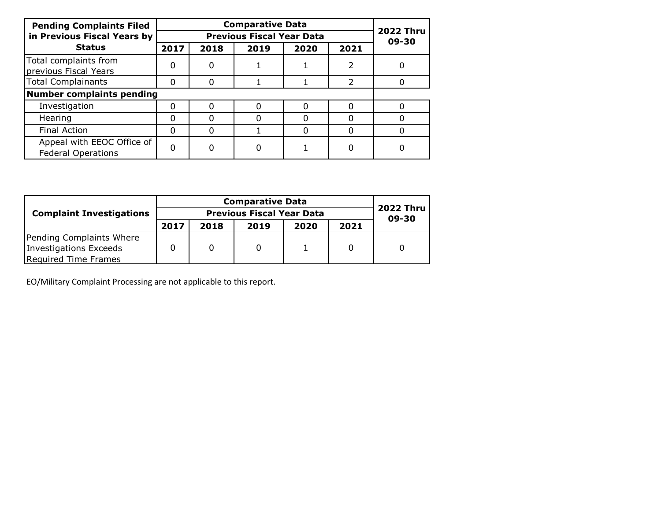| <b>Pending Complaints Filed</b>                         |      |                           |      |      |      |   |
|---------------------------------------------------------|------|---------------------------|------|------|------|---|
| in Previous Fiscal Years by                             |      | <b>2022 Thru</b><br>09-30 |      |      |      |   |
| <b>Status</b>                                           | 2017 | 2018                      | 2019 | 2020 | 2021 |   |
| Total complaints from<br>previous Fiscal Years          | 0    | 0                         |      |      |      |   |
| <b>Total Complainants</b>                               | 0    | O                         |      |      |      |   |
| Number complaints pending                               |      |                           |      |      |      |   |
| Investigation                                           |      | ი                         |      |      |      | ŋ |
| Hearing                                                 |      | 0                         | O    |      |      |   |
| <b>Final Action</b>                                     | 0    | 0                         |      |      |      |   |
| Appeal with EEOC Office of<br><b>Federal Operations</b> |      | 0                         | 0    |      |      |   |

| <b>Complaint Investigations</b> |      | <b>2022 Thru</b><br>09-30 |      |      |      |  |
|---------------------------------|------|---------------------------|------|------|------|--|
|                                 | 2017 | 2018                      | 2019 | 2020 | 2021 |  |
| Pending Complaints Where        |      |                           |      |      |      |  |
| Investigations Exceeds          |      |                           |      |      |      |  |
| Required Time Frames            |      |                           |      |      |      |  |

EO/Military Complaint Processing are not applicable to this report.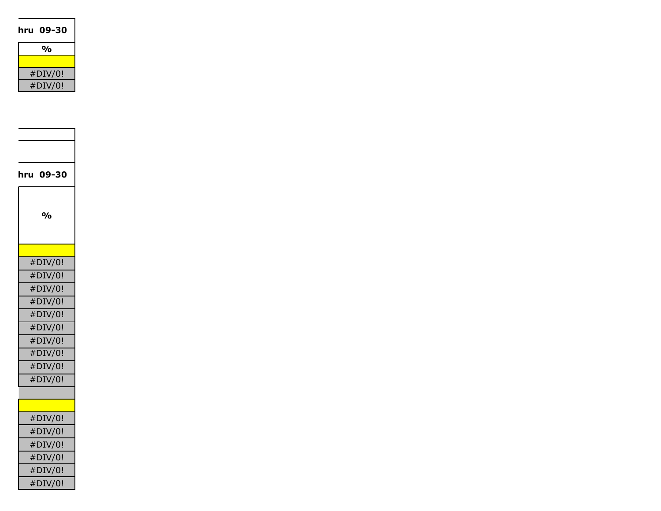| hru 09-30                 |
|---------------------------|
|                           |
| $\mathbf{0}/\mathbf{0}$   |
|                           |
| #DIV/0!                   |
| #DIV/0!                   |
|                           |
|                           |
|                           |
|                           |
|                           |
|                           |
| hru 09-30                 |
|                           |
|                           |
| $\mathsf{o}\!/\mathsf{o}$ |
|                           |
|                           |
| #DIV/0!                   |
| #DIV/0!                   |
| #DIV/0!                   |
| #DIV/0!                   |
|                           |
| #DIV/0!                   |
| #DIV/0!                   |
| #DIV/0!                   |
| #DIV/0!                   |
| #DIV/0!                   |
| #DIV/0!                   |
|                           |
|                           |
| #DIV/0!                   |
| $\#\rm{DIV}/0!$           |
| #DIV/0!                   |
| #DIV/0!                   |
| #DIV/0!                   |
| #DIV/0!                   |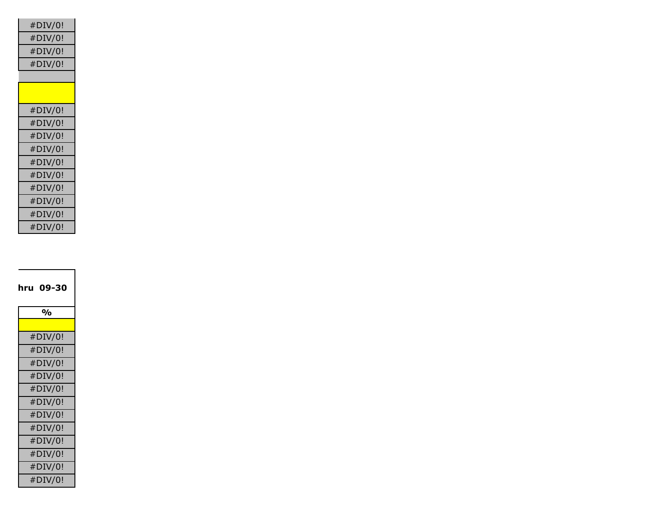| #DIV/0! |
|---------|
| #DIV/0! |
| #DIV/0! |
| #DIV/0! |
|         |
|         |
| #DIV/0! |
| #DIV/0! |
| #DIV/0! |
| #DIV/0! |
| #DIV/0! |
| #DIV/0! |
| #DIV/0! |
| #DIV/0! |
| #DIV/0! |
| #DIV/0! |

| hru 09-30 |
|-----------|
| %         |
|           |
| #DIV/0!   |
| #DIV/0!   |
| #DIV/0!   |
| #DIV/0!   |
| #DIV/0!   |
| #DIV/0!   |
| #DIV/0!   |
| #DIV/0!   |
| #DIV/0!   |
| #DIV/0!   |
| #DIV/0!   |
| #DIV/0!   |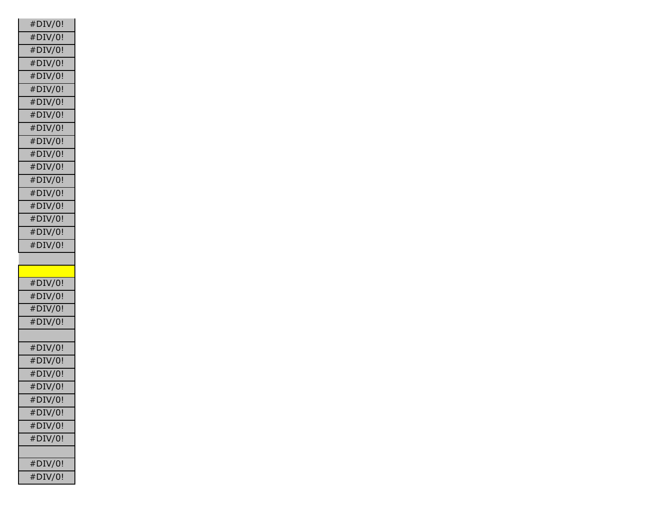| #DIV/0! |
|---------|
| #DIV/0! |
| #DIV/0! |
| #DIV/0! |
| #DIV/0! |
| #DIV/0! |
| #DIV/0! |
| #DIV/0! |
| #DIV/0! |
| #DIV/0! |
| #DIV/0! |
| #DIV/0! |
| #DIV/0! |
| #DIV/0! |
| #DIV/0! |
| #DIV/0! |
| #DIV/0! |
| #DIV/0! |
|         |
|         |
|         |
| #DIV/0! |
| #DIV/0! |
| #DIV/0! |
| #DIV/0! |
|         |
| #DIV/0! |
| #DIV/0! |
| #DIV/0! |
| #DIV/0! |
| #DIV/0! |
| #DIV/0! |
| #DIV/0! |
| #DIV/0! |
|         |
| #DIV/0! |
| #DIV/0! |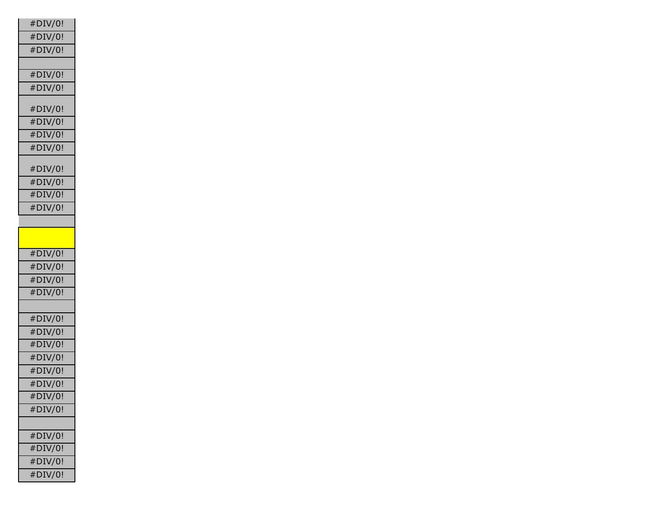| #DIV/0!    |
|------------|
| #DIV/0!    |
| #DIV/0!    |
|            |
| #DIV/0!    |
| $#$ DIV/0! |
|            |
| #DIV/0!    |
| #DIV/0!    |
| #DIV/0!    |
| #DIV/0!    |
| #DIV/0!    |
| #DIV/0!    |
| #DIV/0!    |
| #DIV/0!    |
|            |
|            |
|            |
| #DIV/0!    |
| #DIV/0!    |
| #DIV/0!    |
| #DIV/0!    |
|            |
| #DIV/0!    |
| #DIV/0!    |
| #DIV/0!    |
| #DIV/0!    |
| #DIV/0!    |
| #DIV/0!    |
| #DIV/0!    |
| #DIV/0!    |
|            |
| #DIV/0!    |
| #DIV/0!    |
| #DIV/0!    |
|            |
| #DIV/0!    |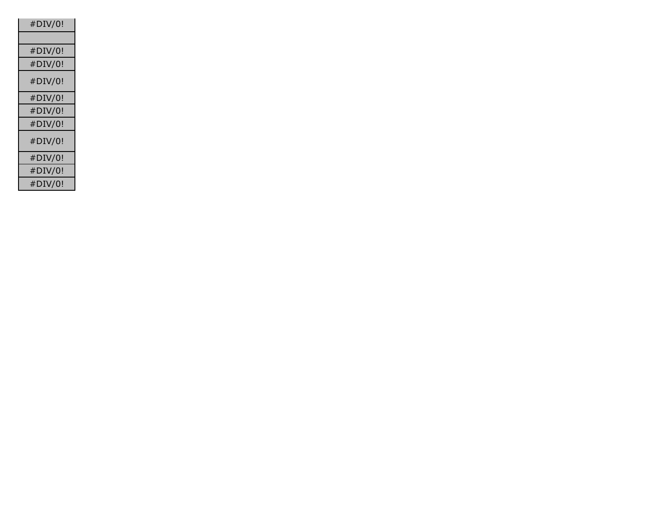| #DIV/0! |
|---------|
|         |
| #DIV/0! |
| #DIV/0! |
| #DIV/0! |
| #DIV/0! |
| #DIV/0! |
| #DIV/0! |
| #DIV/0! |
| #DIV/0! |
| #DIV/0! |
| #DIV/0! |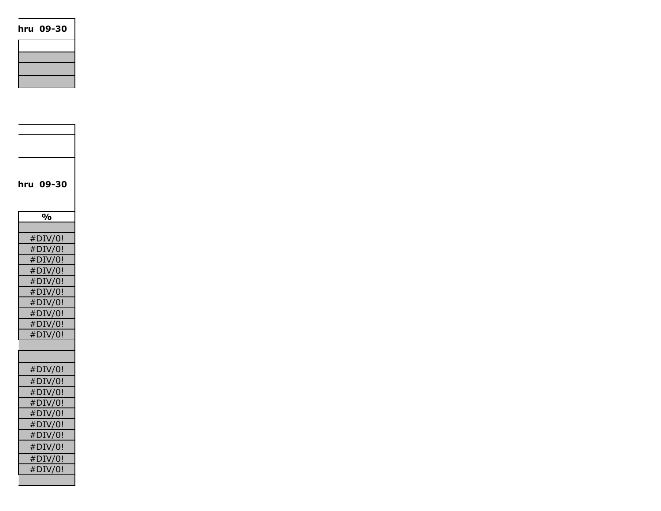hru 09-30  $\vert$ 

| hru 09-30     |
|---------------|
|               |
| $\frac{1}{2}$ |
|               |
| #DIV/0!       |
| #DIV/0!       |
| #DIV/0!       |
| #DIV/0!       |
| #DIV/0!       |
| #DIV/0!       |
| #DIV/0!       |
| #DIV/0!       |
| #DIV/0!       |
| #DIV/0!       |
|               |
|               |
| #DIV/0!       |
| #DIV/0!       |
| #DIV/0!       |
| #DIV/0!       |
| #DIV/0!       |
| #DIV/0!       |
| #DIV/0!       |
| #DIV/0!       |
| #DIV/0!       |
| #DIV/0!       |
|               |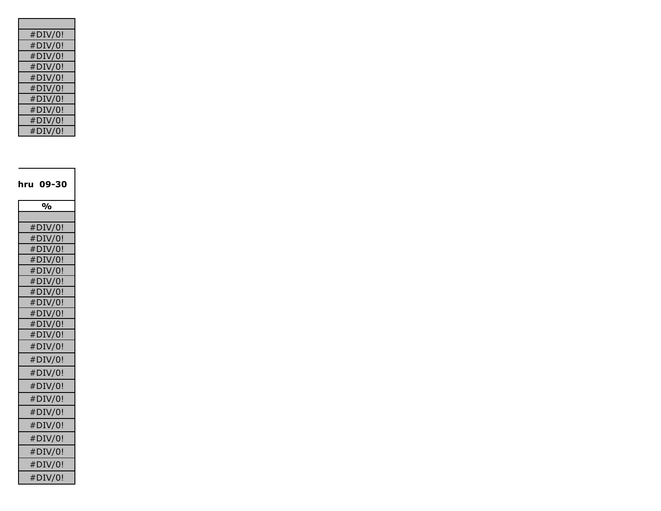| #DIV/0! |
|---------|
| #DIV/0! |
| #DIV/0! |
| #DIV/0! |
| #DIV/0! |
| #DIV/0! |
| #DIV/0! |
| #DIV/0! |
| #DIV/0! |
| #DIV/0! |

| hru 09-30     |
|---------------|
| $\frac{1}{2}$ |
|               |
| #DIV/0!       |
| #DIV/0!       |
| #DIV/0!       |
| #DIV/0!       |
| #DIV/0!       |
| #DIV/0!       |
| #DIV/0!       |
| #DIV/0!       |
| #DIV/0!       |
| #DIV/0!       |
| #DIV/0!       |
| #DIV/0!       |
| #DIV/0!       |
| #DIV/0!       |
| #DIV/0!       |
| #DIV/0!       |
| #DIV/0!       |
| #DIV/0!       |
| #DIV/0!       |
| #DIV/0!       |
| #DIV/0!       |
| #DIV/0!       |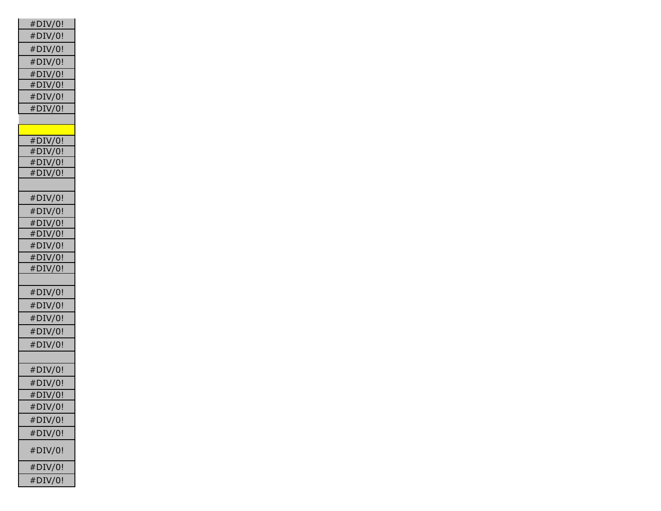| #DIV/0!            |
|--------------------|
| #DIV/0!            |
| #DIV/0!            |
| #DIV/0!            |
| $#$ DIV/0!         |
| #DIV/0!            |
| #DIV/0!            |
| #DIV/0!            |
|                    |
|                    |
| #DIV/0!            |
| #DIV/0!            |
| #DIV/0!            |
| #DIV/0!            |
|                    |
| #DIV/0!            |
| #DIV/0!            |
|                    |
| #DIV/0!<br>#DIV/0! |
| #DIV/0!            |
| #DIV/0!            |
| $#$ DIV/0!         |
|                    |
| #DIV/0!            |
| #DIV/0!            |
| #DIV/0!            |
| #DIV/0!            |
|                    |
| #DIV/0!            |
|                    |
| #DIV/0!            |
| #DIV/0!            |
| #DIV/0!            |
| #DIV/0!            |
| #DIV/0!            |
| #DIV/0!            |
|                    |
| #DIV/0!            |
| #DIV/0!            |
| #DIV/0!            |
|                    |